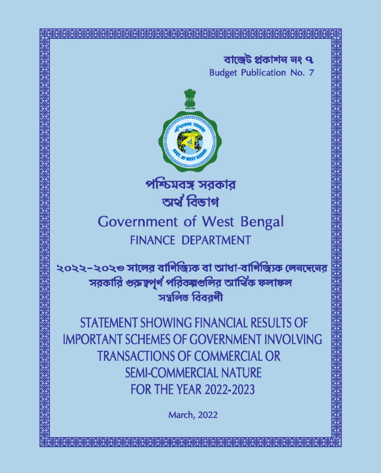বাজেট প্ৰকাশন নং ৭ **Budget Publication No. 7** 



পশ্চিমবঙ্গ সরকার অৰ্থ বিভাগ

# **Government of West Bengal FINANCE DEPARTMENT**

২০২২–২০২৩ সালের বাণিজ্যিক বা আধা-বাণিজ্যিক লেনদেনের সরকারি গুরুত্বপূর্ণ পরিকল্পগুলির আর্থিক ফলাফল সম্বলিত বিবরণী

STATEMENT SHOWING FINANCIAL RESULTS OF **IMPORTANT SCHEMES OF GOVERNMENT INVOLVING TRANSACTIONS OF COMMERCIAL OR SEMI-COMMERCIAL NATURE FOR THE YEAR 2022-2023** 

**March, 2022**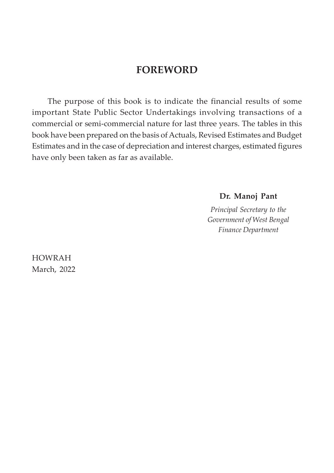## **FOREWORD**

The purpose of this book is to indicate the financial results of some important State Public Sector Undertakings involving transactions of a commercial or semi-commercial nature for last three years. The tables in this book have been prepared on the basis of Actuals, Revised Estimates and Budget Estimates and in the case of depreciation and interest charges, estimated figures have only been taken as far as available.

**Dr. Manoj Pant**

*Principal Secretary to the Government of West Bengal Finance Department*

HOWRAH March, 2022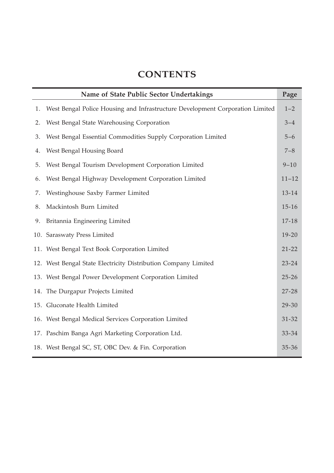## **CONTENTS**

|    | Name of State Public Sector Undertakings                                      |           |  |  |  |  |  |
|----|-------------------------------------------------------------------------------|-----------|--|--|--|--|--|
| 1. | West Bengal Police Housing and Infrastructure Development Corporation Limited | $1 - 2$   |  |  |  |  |  |
| 2. | West Bengal State Warehousing Corporation                                     | $3 - 4$   |  |  |  |  |  |
| 3. | West Bengal Essential Commodities Supply Corporation Limited                  | $5 - 6$   |  |  |  |  |  |
| 4. | West Bengal Housing Board                                                     | $7 - 8$   |  |  |  |  |  |
| 5. | West Bengal Tourism Development Corporation Limited                           | $9 - 10$  |  |  |  |  |  |
| 6. | West Bengal Highway Development Corporation Limited                           | $11 - 12$ |  |  |  |  |  |
| 7. | Westinghouse Saxby Farmer Limited                                             | 13-14     |  |  |  |  |  |
| 8. | Mackintosh Burn Limited                                                       | $15 - 16$ |  |  |  |  |  |
| 9. | Britannia Engineering Limited                                                 | $17 - 18$ |  |  |  |  |  |
|    | 10. Saraswaty Press Limited                                                   | $19 - 20$ |  |  |  |  |  |
|    | 11. West Bengal Text Book Corporation Limited                                 | $21 - 22$ |  |  |  |  |  |
|    | 12. West Bengal State Electricity Distribution Company Limited                | $23 - 24$ |  |  |  |  |  |
|    | 13. West Bengal Power Development Corporation Limited                         | $25 - 26$ |  |  |  |  |  |
|    | 14. The Durgapur Projects Limited                                             | $27 - 28$ |  |  |  |  |  |
|    | 15. Gluconate Health Limited                                                  | 29-30     |  |  |  |  |  |
|    | 16. West Bengal Medical Services Corporation Limited                          | $31 - 32$ |  |  |  |  |  |
|    | 17. Paschim Banga Agri Marketing Corporation Ltd.                             | 33-34     |  |  |  |  |  |
|    | 18. West Bengal SC, ST, OBC Dev. & Fin. Corporation                           | $35 - 36$ |  |  |  |  |  |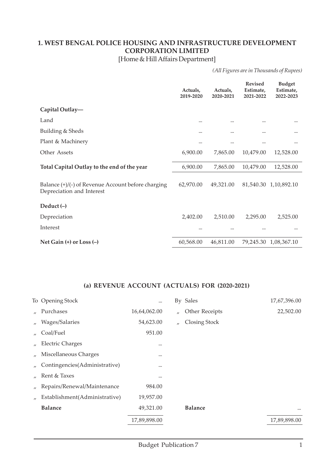#### **1. WEST BENGAL POLICE HOUSING AND INFRASTRUCTURE DEVELOPMENT CORPORATION LIMITED**

[Home & Hill Affairs Department]

*(All Figures are in Thousands of Rupees)*

|                                                                                   | Actuals,<br>2019-2020 | Actuals,<br>2020-2021 | <b>Revised</b><br>Estimate,<br>2021-2022 | <b>Budget</b><br>Estimate,<br>2022-2023 |
|-----------------------------------------------------------------------------------|-----------------------|-----------------------|------------------------------------------|-----------------------------------------|
| Capital Outlay-                                                                   |                       |                       |                                          |                                         |
| Land                                                                              |                       |                       |                                          | $\cdots$                                |
| Building & Sheds                                                                  |                       |                       |                                          |                                         |
| Plant & Machinery                                                                 |                       |                       |                                          |                                         |
| Other Assets                                                                      | 6,900.00              | 7,865.00              | 10,479.00                                | 12,528.00                               |
| Total Capital Outlay to the end of the year                                       | 6,900.00              | 7,865.00              | 10,479.00                                | 12,528.00                               |
| Balance $(+)/(-)$ of Revenue Account before charging<br>Depreciation and Interest | 62,970.00             | 49,321.00             |                                          | 81,540.30 1,10,892.10                   |
| Deduct $(-)$                                                                      |                       |                       |                                          |                                         |
| Depreciation                                                                      | 2,402.00              | 2,510.00              | 2,295.00                                 | 2,525.00                                |
| Interest                                                                          |                       |                       |                                          |                                         |
| Net Gain $(+)$ or Loss $(-)$                                                      | 60,568.00             | 46,811.00             |                                          | 79,245.30 1,08,367.10                   |

|                   | To Opening Stock              |              |          | By Sales       | 17,67,396.00 |
|-------------------|-------------------------------|--------------|----------|----------------|--------------|
| $\mathbf{u}$      | Purchases                     | 16,64,062.00 | $\prime$ | Other Receipts | 22,502.00    |
| $\prime$          | Wages/Salaries                | 54,623.00    | $\prime$ | Closing Stock  |              |
| $^{\prime\prime}$ | Coal/Fuel                     | 951.00       |          |                |              |
| $\prime$          | <b>Electric Charges</b>       |              |          |                |              |
|                   | Miscellaneous Charges         |              |          |                |              |
|                   | Contingencies(Administrative) |              |          |                |              |
|                   | Rent & Taxes                  |              |          |                |              |
| $^{\prime\prime}$ | Repairs/Renewal/Maintenance   | 984.00       |          |                |              |
|                   | Establishment(Administrative) | 19,957.00    |          |                |              |
|                   | <b>Balance</b>                | 49,321.00    |          | <b>Balance</b> | $\cdots$     |
|                   |                               | 17,89,898.00 |          |                | 17,89,898.00 |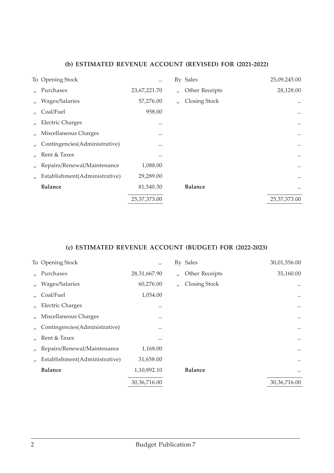|                   | To Opening Stock              | $\cdots$     |                   | By Sales       | 25,09,245.00   |
|-------------------|-------------------------------|--------------|-------------------|----------------|----------------|
| $\mathbf{u}$      | Purchases                     | 23,67,221.70 | $^{\prime\prime}$ | Other Receipts | 28,128.00      |
| $^{\prime\prime}$ | Wages/Salaries                | 57,276.00    | $^{\prime\prime}$ | Closing Stock  | $\cdots$       |
|                   | Coal/Fuel                     | 958.00       |                   |                | $\cdots$       |
|                   | <b>Electric Charges</b>       |              |                   |                | $\cdots$       |
|                   | Miscellaneous Charges         |              |                   |                | $\cdots$       |
|                   | Contingencies(Administrative) |              |                   |                | $\cdots$       |
|                   | Rent & Taxes                  |              |                   |                | $\cdots$       |
|                   | Repairs/Renewal/Maintenance   | 1,088.00     |                   |                | $\cdots$       |
|                   | Establishment(Administrative) | 29,289.00    |                   |                | $\cdots$       |
|                   | <b>Balance</b>                | 81,540.30    |                   | <b>Balance</b> | $\cdots$       |
|                   |                               | 25,37,373.00 |                   |                | 25, 37, 373.00 |
|                   |                               |              |                   |                |                |

|                   | To Opening Stock              |                |                   | By Sales       | 30,01,556.00   |
|-------------------|-------------------------------|----------------|-------------------|----------------|----------------|
| $\mathcal{U}$     | Purchases                     | 28,31,667.90   | $^{\prime\prime}$ | Other Receipts | 35,160.00      |
| $^{\prime\prime}$ | Wages/Salaries                | 60,276.00      | $^{\prime\prime}$ | Closing Stock  |                |
| $\prime$          | Coal/Fuel                     | 1,054.00       |                   |                | $\cdots$       |
|                   | <b>Electric Charges</b>       |                |                   |                | $\cdots$       |
|                   | Miscellaneous Charges         |                |                   |                | $\cdots$       |
|                   | Contingencies(Administrative) |                |                   |                | $\cdots$       |
|                   | Rent & Taxes                  |                |                   |                | $\cdots$       |
| $\prime$          | Repairs/Renewal/Maintenance   | 1,168.00       |                   |                | $\cdots$       |
|                   | Establishment(Administrative) | 31,658.00      |                   |                |                |
|                   | <b>Balance</b>                | 1,10,892.10    |                   | <b>Balance</b> | $\cdots$       |
|                   |                               | 30, 36, 716.00 |                   |                | 30, 36, 716.00 |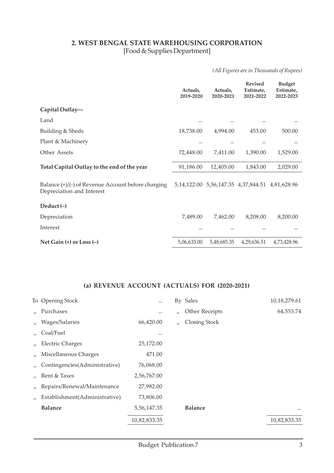#### **2. WEST BENGAL STATE WAREHOUSING CORPORATION** [Food & Supplies Department]

*(All Figures are in Thousands of Rupees)*

|                                                                                 | Actuals,<br>2019-2020 | Actuals,<br>2020-2021                     | <b>Revised</b><br>Estimate,<br>2021-2022 | <b>Budget</b><br>Estimate,<br>2022-2023 |
|---------------------------------------------------------------------------------|-----------------------|-------------------------------------------|------------------------------------------|-----------------------------------------|
| Capital Outlay-                                                                 |                       |                                           |                                          |                                         |
| Land                                                                            | $\cdots$              |                                           |                                          |                                         |
| Building & Sheds                                                                | 18,738.00             | 4,994.00                                  | 453.00                                   | 500.00                                  |
| Plant & Machinery                                                               | $\cdots$              |                                           |                                          |                                         |
| Other Assets                                                                    | 72,448.00             | 7,411.00                                  | 1,390.00                                 | 1,529.00                                |
| Total Capital Outlay to the end of the year                                     | 91,186.00             | 12,405.00                                 | 1,843.00                                 | 2,029.00                                |
| Balance (+)/(-) of Revenue Account before charging<br>Depreciation and Interest |                       | 5, 14, 122.00 5, 56, 147.35 4, 37, 844.51 |                                          | 4,81,628.96                             |
| Deduct $(-)$                                                                    |                       |                                           |                                          |                                         |
| Depreciation                                                                    | 7,489.00              | 7,462.00                                  | 8,208.00                                 | 8,200.00                                |
| Interest                                                                        | $\cdots$              |                                           |                                          |                                         |
| Net Gain $(+)$ or Loss $(-)$                                                    | 5,06,633.00           | 5,48,685.35                               | 4,29,636.51                              | 4,73,428.96                             |

|                   | To Opening Stock              | $\cdots$     |                   | By Sales       | 10,18,279.61 |
|-------------------|-------------------------------|--------------|-------------------|----------------|--------------|
|                   | Purchases                     | $\cdots$     | $^{\prime\prime}$ | Other Receipts | 64,553.74    |
| $\prime$          | Wages/Salaries                | 66,420.00    | $\prime$          | Closing Stock  |              |
|                   | Coal/Fuel                     | $\cdots$     |                   |                |              |
| $^{\prime\prime}$ | <b>Electric Charges</b>       | 25,172.00    |                   |                |              |
|                   | Miscellaneous Charges         | 471.00       |                   |                |              |
|                   | Contingencies(Administrative) | 76,068.00    |                   |                |              |
|                   | Rent & Taxes                  | 2,56,767.00  |                   |                |              |
| $^{\prime\prime}$ | Repairs/Renewal/Maintenance   | 27,982.00    |                   |                |              |
|                   | Establishment(Administrative) | 73,806.00    |                   |                |              |
|                   | <b>Balance</b>                | 5,56,147.35  |                   | <b>Balance</b> | $\cdots$     |
|                   |                               | 10,82,833.35 |                   |                | 10,82,833.35 |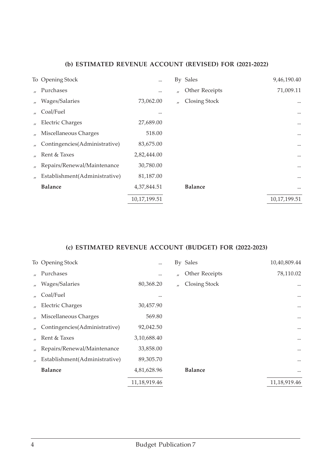|                   | To Opening Stock              | $\cdots$     |                   | By Sales             | 9,46,190.40  |
|-------------------|-------------------------------|--------------|-------------------|----------------------|--------------|
| $\mathbf{u}$      | Purchases                     | $\cdots$     | $^{\prime\prime}$ | Other Receipts       | 71,009.11    |
| $^{\prime\prime}$ | Wages/Salaries                | 73,062.00    | $^{\prime\prime}$ | <b>Closing Stock</b> | $\cdots$     |
|                   | Coal/Fuel                     |              |                   |                      | $\cdots$     |
| $^{\prime\prime}$ | <b>Electric Charges</b>       | 27,689.00    |                   |                      | $\cdots$     |
|                   | Miscellaneous Charges         | 518.00       |                   |                      | $\cdots$     |
|                   | Contingencies(Administrative) | 83,675.00    |                   |                      | $\cdots$     |
|                   | Rent & Taxes                  | 2,82,444.00  |                   |                      | $\cdots$     |
| $^{\prime\prime}$ | Repairs/Renewal/Maintenance   | 30,780.00    |                   |                      | $\cdots$     |
|                   | Establishment(Administrative) | 81,187.00    |                   |                      | $\cdots$     |
|                   | <b>Balance</b>                | 4,37,844.51  |                   | <b>Balance</b>       | $\cdots$     |
|                   |                               | 10,17,199.51 |                   |                      | 10,17,199.51 |
|                   |                               |              |                   |                      |              |

|                   | To Opening Stock              |              |                   | By Sales             | 10,40,809.44 |
|-------------------|-------------------------------|--------------|-------------------|----------------------|--------------|
|                   | Purchases                     |              | $^{\prime\prime}$ | Other Receipts       | 78,110.02    |
| $^{\prime\prime}$ | Wages/Salaries                | 80,368.20    | $^{\prime\prime}$ | <b>Closing Stock</b> | $\cdots$     |
|                   | Coal/Fuel                     |              |                   |                      | $\cdots$     |
|                   | <b>Electric Charges</b>       | 30,457.90    |                   |                      | $\cdots$     |
|                   | Miscellaneous Charges         | 569.80       |                   |                      | $\cdots$     |
|                   | Contingencies(Administrative) | 92,042.50    |                   |                      | $\cdots$     |
|                   | Rent & Taxes                  | 3,10,688.40  |                   |                      | $\cdots$     |
| $\prime$          | Repairs/Renewal/Maintenance   | 33,858.00    |                   |                      | $\cdots$     |
|                   | Establishment(Administrative) | 89,305.70    |                   |                      | $\cdots$     |
|                   | <b>Balance</b>                | 4,81,628.96  |                   | <b>Balance</b>       | $\cdots$     |
|                   |                               | 11,18,919.46 |                   |                      | 11,18,919.46 |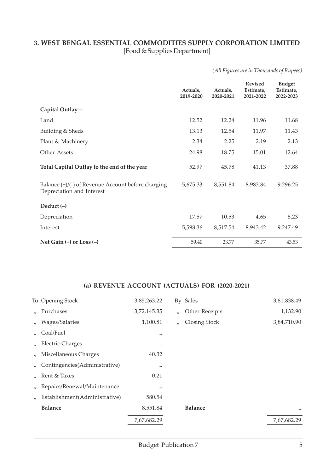#### **3. WEST BENGAL ESSENTIAL COMMODITIES SUPPLY CORPORATION LIMITED** [Food & Supplies Department]

*(All Figures are in Thousands of Rupees)*

|                                                                                   | Actuals,<br>2019-2020 | Actuals,<br>2020-2021 | <b>Revised</b><br>Estimate,<br>2021-2022 | <b>Budget</b><br>Estimate,<br>2022-2023 |
|-----------------------------------------------------------------------------------|-----------------------|-----------------------|------------------------------------------|-----------------------------------------|
| Capital Outlay-                                                                   |                       |                       |                                          |                                         |
| Land                                                                              | 12.52                 | 12.24                 | 11.96                                    | 11.68                                   |
| Building & Sheds                                                                  | 13.13                 | 12.54                 | 11.97                                    | 11.43                                   |
| Plant & Machinery                                                                 | 2.34                  | 2.25                  | 2.19                                     | 2.13                                    |
| Other Assets                                                                      | 24.98                 | 18.75                 | 15.01                                    | 12.64                                   |
| Total Capital Outlay to the end of the year                                       | 52.97                 | 45.78                 | 41.13                                    | 37.88                                   |
| Balance $(+)/(-)$ of Revenue Account before charging<br>Depreciation and Interest | 5,675.33              | 8,551.84              | 8,983.84                                 | 9,296.25                                |
| Deduct $(-)$                                                                      |                       |                       |                                          |                                         |
| Depreciation                                                                      | 17.57                 | 10.53                 | 4.65                                     | 5.23                                    |
| Interest                                                                          | 5,598.36              | 8,517.54              | 8,943.42                                 | 9,247.49                                |
| Net Gain $(+)$ or Loss $(-)$                                                      | 59.40                 | 23.77                 | 35.77                                    | 43.53                                   |

|                   | To Opening Stock              | 3,85,263.22 |          | By Sales             | 3,81,838.49 |
|-------------------|-------------------------------|-------------|----------|----------------------|-------------|
| $\mathbf{u}$      | Purchases                     | 3,72,145.35 | $\prime$ | Other Receipts       | 1,132.90    |
| $\prime$          | Wages/Salaries                | 1,100.81    | $\prime$ | <b>Closing Stock</b> | 3,84,710.90 |
| $\mathcal{U}$     | Coal/Fuel                     |             |          |                      |             |
| $^{\prime\prime}$ | <b>Electric Charges</b>       | $\cdots$    |          |                      |             |
| $^{\prime\prime}$ | Miscellaneous Charges         | 40.32       |          |                      |             |
|                   | Contingencies(Administrative) |             |          |                      |             |
| $\mathbf{u}$      | Rent & Taxes                  | 0.21        |          |                      |             |
| $^{\prime\prime}$ | Repairs/Renewal/Maintenance   |             |          |                      |             |
| $^{\prime\prime}$ | Establishment(Administrative) | 580.54      |          |                      |             |
|                   | <b>Balance</b>                | 8,551.84    |          | <b>Balance</b>       | $\cdots$    |
|                   |                               | 7,67,682.29 |          |                      | 7,67,682.29 |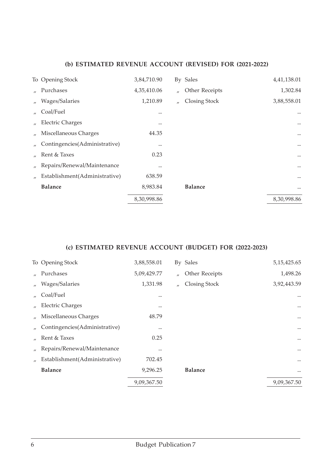|                               | 3,84,710.90      |                   |                      | 4,41,138.01 |
|-------------------------------|------------------|-------------------|----------------------|-------------|
| Purchases                     | 4,35,410.06      | $\prime$          | Other Receipts       | 1,302.84    |
| Wages/Salaries                | 1,210.89         | $^{\prime\prime}$ | <b>Closing Stock</b> | 3,88,558.01 |
| Coal/Fuel                     | $\cdots$         |                   |                      | $\ddotsc$   |
| <b>Electric Charges</b>       | $\cdots$         |                   |                      | $\cdots$    |
| Miscellaneous Charges         | 44.35            |                   |                      | $\cdots$    |
| Contingencies(Administrative) | $\cdots$         |                   |                      | $\cdots$    |
| Rent & Taxes                  | 0.23             |                   |                      | $\cdots$    |
| Repairs/Renewal/Maintenance   |                  |                   |                      | $\cdots$    |
| Establishment(Administrative) | 638.59           |                   |                      | $\cdots$    |
| <b>Balance</b>                | 8,983.84         |                   | <b>Balance</b>       | $\cdots$    |
|                               | 8,30,998.86      |                   |                      | 8,30,998.86 |
|                               | To Opening Stock |                   |                      | By Sales    |

|                   | To Opening Stock              | 3,88,558.01 |                   | By Sales       | 5, 15, 425.65 |
|-------------------|-------------------------------|-------------|-------------------|----------------|---------------|
|                   | Purchases                     | 5,09,429.77 | $^{\prime\prime}$ | Other Receipts | 1,498.26      |
| $^{\prime\prime}$ | Wages/Salaries                | 1,331.98    | $\prime$          | Closing Stock  | 3,92,443.59   |
|                   | Coal/Fuel                     | $\cdots$    |                   |                | $\cdots$      |
| $^{\prime\prime}$ | <b>Electric Charges</b>       |             |                   |                | $\cdots$      |
|                   | Miscellaneous Charges         | 48.79       |                   |                | $\cdots$      |
|                   | Contingencies(Administrative) |             |                   |                | $\cdots$      |
|                   | Rent & Taxes                  | 0.25        |                   |                | $\cdots$      |
| $^{\prime\prime}$ | Repairs/Renewal/Maintenance   |             |                   |                | $\cdots$      |
|                   | Establishment(Administrative) | 702.45      |                   |                | $\cdots$      |
|                   | <b>Balance</b>                | 9,296.25    |                   | <b>Balance</b> | $\cdots$      |
|                   |                               | 9,09,367.50 |                   |                | 9,09,367.50   |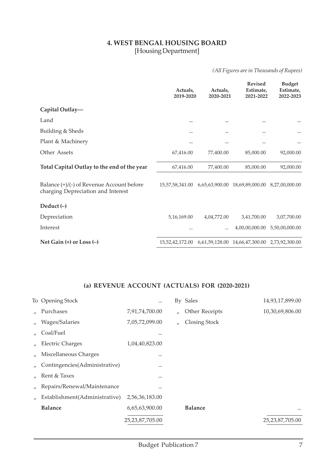#### **4. WEST BENGAL HOUSING BOARD** [Housing Department]

#### *(All Figures are in Thousands of Rupees)*

|                                                                                 | Actuals,<br>2019-2020 | Actuals,<br>2020-2021 | <b>Revised</b><br>Estimate,<br>2021-2022       | <b>Budget</b><br>Estimate,<br>2022-2023 |
|---------------------------------------------------------------------------------|-----------------------|-----------------------|------------------------------------------------|-----------------------------------------|
| Capital Outlay-                                                                 |                       |                       |                                                |                                         |
| Land                                                                            |                       | $\cdots$              |                                                |                                         |
| Building & Sheds                                                                |                       |                       |                                                |                                         |
| Plant & Machinery                                                               |                       |                       |                                                |                                         |
| Other Assets                                                                    | 67,416.00             | 77,400.00             | 85,000.00                                      | 92,000.00                               |
| Total Capital Outlay to the end of the year                                     | 67,416.00             | 77,400.00             | 85,000.00                                      | 92,000.00                               |
| Balance (+)/(-) of Revenue Account before<br>charging Depreciation and Interest |                       |                       | 15,57,58,341.00 6,65,63,900.00 18,69,89,000.00 | 8,27,00,000.00                          |
| Deduct $(-)$                                                                    |                       |                       |                                                |                                         |
| Depreciation                                                                    | 5, 16, 169.00         | 4,04,772.00           | 3,41,700.00                                    | 3,07,700.00                             |
| Interest                                                                        |                       |                       | 4,00,00,000.00                                 | 5,50,00,000.00                          |
| Net Gain $(+)$ or Loss $(-)$                                                    | 15,52,42,172.00       |                       | 6,61,59,128.00 14,66,47,300.00 2,73,92,300.00  |                                         |

|                   | To Opening Stock              |                    |          | By Sales       | 14,93,17,899.00 |
|-------------------|-------------------------------|--------------------|----------|----------------|-----------------|
| $\mathbf{u}$      | Purchases                     | 7,91,74,700.00     | $\prime$ | Other Receipts | 10,30,69,806.00 |
| $\prime$          | Wages/Salaries                | 7,05,72,099.00     | $\prime$ | Closing Stock  |                 |
| $^{\prime\prime}$ | Coal/Fuel                     |                    |          |                |                 |
| $^{\prime\prime}$ | <b>Electric Charges</b>       | 1,04,40,823.00     |          |                |                 |
|                   | Miscellaneous Charges         |                    |          |                |                 |
|                   | Contingencies(Administrative) |                    |          |                |                 |
| $\mathbf{u}$      | Rent & Taxes                  |                    |          |                |                 |
| $^{\prime\prime}$ | Repairs/Renewal/Maintenance   |                    |          |                |                 |
|                   | Establishment(Administrative) | 2,56,36,183.00     |          |                |                 |
|                   | <b>Balance</b>                | 6,65,63,900.00     |          | <b>Balance</b> | $\cdots$        |
|                   |                               | 25, 23, 87, 705.00 |          |                | 25,23,87,705.00 |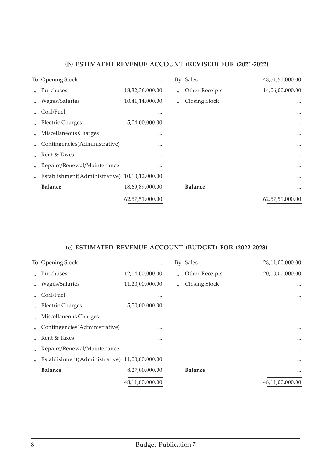|                   | To Opening Stock                              |                 |                   | By Sales       | 48,51,51,000.00 |
|-------------------|-----------------------------------------------|-----------------|-------------------|----------------|-----------------|
|                   | Purchases                                     | 18,32,36,000.00 | $\prime$          | Other Receipts | 14,06,00,000.00 |
| $^{\prime\prime}$ | Wages/Salaries                                | 10,41,14,000.00 | $^{\prime\prime}$ | Closing Stock  |                 |
|                   | Coal/Fuel                                     |                 |                   |                |                 |
|                   | <b>Electric Charges</b>                       | 5,04,00,000.00  |                   |                | $\cdots$        |
|                   | Miscellaneous Charges                         |                 |                   |                | $\cdots$        |
|                   | Contingencies(Administrative)                 |                 |                   |                | $\cdots$        |
|                   | Rent & Taxes                                  |                 |                   |                | $\cdots$        |
| $^{\prime\prime}$ | Repairs/Renewal/Maintenance                   |                 |                   |                | $\cdots$        |
|                   | Establishment(Administrative) 10,10,12,000.00 |                 |                   |                | $\cdots$        |
|                   | <b>Balance</b>                                | 18,69,89,000.00 |                   | <b>Balance</b> |                 |
|                   |                                               | 62,57,51,000.00 |                   |                | 62,57,51,000.00 |

|                   | To Opening Stock                              | $\cdots$        |                   | By Sales       | 28,11,00,000.00 |
|-------------------|-----------------------------------------------|-----------------|-------------------|----------------|-----------------|
|                   | Purchases                                     | 12,14,00,000.00 | $\prime$          | Other Receipts | 20,00,00,000.00 |
| $^{\prime\prime}$ | Wages/Salaries                                | 11,20,00,000.00 | $^{\prime\prime}$ | Closing Stock  | $\cdots$        |
|                   | Coal/Fuel                                     |                 |                   |                | $\cdots$        |
|                   | <b>Electric Charges</b>                       | 5,50,00,000.00  |                   |                | $\cdots$        |
|                   | Miscellaneous Charges                         |                 |                   |                | $\cdots$        |
|                   | Contingencies(Administrative)                 |                 |                   |                | $\cdots$        |
|                   | Rent & Taxes                                  |                 |                   |                | $\cdots$        |
|                   | Repairs/Renewal/Maintenance                   |                 |                   |                |                 |
|                   | Establishment(Administrative) 11,00,00,000.00 |                 |                   |                |                 |
|                   | <b>Balance</b>                                | 8,27,00,000.00  |                   | <b>Balance</b> | $\cdots$        |
|                   |                                               | 48,11,00,000.00 |                   |                | 48,11,00,000.00 |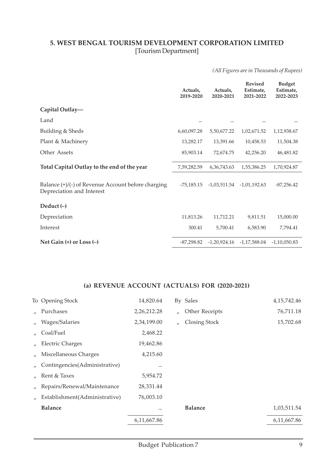#### **5. WEST BENGAL TOURISM DEVELOPMENT CORPORATION LIMITED** [Tourism Department]

*(All Figures are in Thousands of Rupees)*

|                                                                                   | Actuals,<br>2019-2020 | Actuals,<br>2020-2021 | <b>Revised</b><br>Estimate,<br>2021-2022 | <b>Budget</b><br>Estimate,<br>2022-2023 |
|-----------------------------------------------------------------------------------|-----------------------|-----------------------|------------------------------------------|-----------------------------------------|
| Capital Outlay-                                                                   |                       |                       |                                          |                                         |
| Land                                                                              | $\cdots$              |                       |                                          |                                         |
| Building & Sheds                                                                  | 6,60,097.28           | 5,50,677.22           | 1,02,671.52                              | 1,12,938.67                             |
| Plant & Machinery                                                                 | 13,282.17             | 13,391.66             | 10,458.53                                | 11,504.38                               |
| Other Assets                                                                      | 85,903.14             | 72,674.75             | 42,256.20                                | 46,481.82                               |
| Total Capital Outlay to the end of the year                                       | 7,59,282.59           | 6,36,743.63           | 1,55,386.25                              | 1,70,924.87                             |
| Balance $(+)/(-)$ of Revenue Account before charging<br>Depreciation and Interest | $-75,185,15$          | $-1,03,511.54$        | $-1,01,192.63$                           | $-87,256.42$                            |
| Deduct $(-)$                                                                      |                       |                       |                                          |                                         |
| Depreciation                                                                      | 11,813.26             | 11,712.21             | 9,811.51                                 | 15,000.00                               |
| Interest                                                                          | 300.41                | 5,700.41              | 6,583.90                                 | 7,794.41                                |
| Net Gain $(+)$ or Loss $(-)$                                                      | $-87,298.82$          |                       | $-1,20,924.16$ $-1,17,588.04$            | $-1,10,050.83$                          |

|                   | To Opening Stock              | 14,820.64     |          | By Sales             | 4, 15, 742. 46 |
|-------------------|-------------------------------|---------------|----------|----------------------|----------------|
| $\mathbf{u}$      | Purchases                     | 2,26,212.28   | $\prime$ | Other Receipts       | 76,711.18      |
| $\prime$          | Wages/Salaries                | 2,34,199.00   | $\prime$ | <b>Closing Stock</b> | 15,702.68      |
| $\overline{H}$    | Coal/Fuel                     | 2,468.22      |          |                      |                |
| $^{\prime}$       | <b>Electric Charges</b>       | 19,462.86     |          |                      |                |
| $^{\prime\prime}$ | Miscellaneous Charges         | 4,215.60      |          |                      |                |
|                   | Contingencies(Administrative) |               |          |                      |                |
|                   | Rent & Taxes                  | 5,954.72      |          |                      |                |
| $\prime$          | Repairs/Renewal/Maintenance   | 28,331.44     |          |                      |                |
| $^{\prime}$       | Establishment(Administrative) | 76,003.10     |          |                      |                |
|                   | <b>Balance</b>                |               |          | <b>Balance</b>       | 1,03,511.54    |
|                   |                               | 6, 11, 667.86 |          |                      | 6,11,667.86    |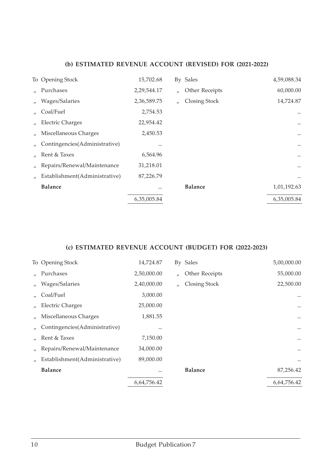|                   | To Opening Stock              | 15,702.68   |                   | By Sales       | 4,59,088.34 |
|-------------------|-------------------------------|-------------|-------------------|----------------|-------------|
|                   | Purchases                     | 2,29,544.17 | $^{\prime\prime}$ | Other Receipts | 60,000.00   |
| $^{\prime\prime}$ | Wages/Salaries                | 2,36,589.75 | $\mathbf{u}$      | Closing Stock  | 14,724.87   |
| $\mathbf{u}$      | Coal/Fuel                     | 2,754.53    |                   |                |             |
| $^{\prime\prime}$ | <b>Electric Charges</b>       | 22,954.42   |                   |                | $\cdots$    |
| $^{\prime\prime}$ | Miscellaneous Charges         | 2,450.53    |                   |                | $\cdots$    |
|                   | Contingencies(Administrative) |             |                   |                | $\cdots$    |
|                   | Rent & Taxes                  | 6,564.96    |                   |                | $\cdots$    |
| $^{\prime\prime}$ | Repairs/Renewal/Maintenance   | 31,218.01   |                   |                | $\cdots$    |
|                   | Establishment(Administrative) | 87,226.79   |                   |                | $\cdots$    |
|                   | <b>Balance</b>                |             |                   | <b>Balance</b> | 1,01,192.63 |
|                   |                               | 6,35,005.84 |                   |                | 6,35,005.84 |

|                   | To Opening Stock              | 14,724.87   |          | By Sales       | 5,00,000.00 |
|-------------------|-------------------------------|-------------|----------|----------------|-------------|
|                   | Purchases                     | 2,50,000.00 | $\prime$ | Other Receipts | 55,000.00   |
| $^{\prime\prime}$ | Wages/Salaries                | 2,40,000.00 | $\prime$ | Closing Stock  | 22,500.00   |
|                   | Coal/Fuel                     | 3,000.00    |          |                |             |
|                   | <b>Electric Charges</b>       | 25,000.00   |          |                | $\cdots$    |
|                   | Miscellaneous Charges         | 1,881.55    |          |                | $\cdots$    |
|                   | Contingencies(Administrative) |             |          |                | $\cdots$    |
|                   | Rent & Taxes                  | 7,150.00    |          |                | $\cdots$    |
| $^{\prime\prime}$ | Repairs/Renewal/Maintenance   | 34,000.00   |          |                | $\cdots$    |
|                   | Establishment(Administrative) | 89,000.00   |          |                | $\cdots$    |
|                   | <b>Balance</b>                |             |          | <b>Balance</b> | 87,256.42   |
|                   |                               | 6,64,756.42 |          |                | 6,64,756.42 |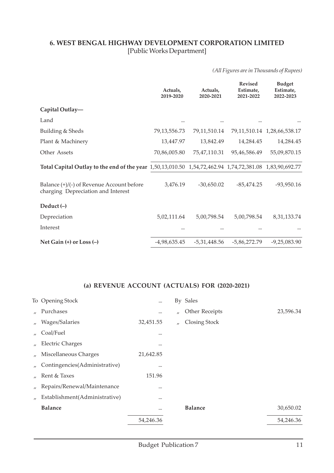#### **6. WEST BENGAL HIGHWAY DEVELOPMENT CORPORATION LIMITED** [Public Works Department]

*(All Figures are in Thousands of Rupees)*

|                                                                                                         | Actuals,<br>2019-2020 | Actuals,<br>2020-2021 | <b>Revised</b><br>Estimate,<br>2021-2022 | <b>Budget</b><br>Estimate,<br>2022-2023 |
|---------------------------------------------------------------------------------------------------------|-----------------------|-----------------------|------------------------------------------|-----------------------------------------|
| Capital Outlay-                                                                                         |                       |                       |                                          |                                         |
| Land                                                                                                    | $\cdots$              |                       |                                          |                                         |
| Building & Sheds                                                                                        | 79, 13, 556. 73       | 79, 11, 510. 14       |                                          | 79, 11, 510. 14 1, 28, 66, 538. 17      |
| Plant & Machinery                                                                                       | 13,447.97             | 13,842.49             | 14,284.45                                | 14,284.45                               |
| Other Assets                                                                                            | 70,86,005.80          | 75,47,110.31          | 95,46,586.49                             | 55,09,870.15                            |
| Total Capital Outlay to the end of the year 1,50,13,010.50 1,54,72,462.94 1,74,72,381.08 1,83,90,692.77 |                       |                       |                                          |                                         |
| Balance (+)/(-) of Revenue Account before<br>charging Depreciation and Interest                         | 3,476.19              | $-30,650.02$          | $-85,474.25$                             | $-93,950.16$                            |
| Deduct $(-)$                                                                                            |                       |                       |                                          |                                         |
| Depreciation                                                                                            | 5,02,111.64           | 5,00,798.54           | 5,00,798.54                              | 8,31,133.74                             |
| Interest                                                                                                |                       |                       |                                          |                                         |
| Net Gain $(+)$ or Loss $(-)$                                                                            | $-4,98,635.45$        | $-5,31,448.56$        | $-5,86,272.79$                           | $-9,25,083.90$                          |

|                   | To Opening Stock              | $\cdots$  |          | By Sales       |           |
|-------------------|-------------------------------|-----------|----------|----------------|-----------|
| $\mathbf{u}$      | Purchases                     | $\cdots$  | $\prime$ | Other Receipts | 23,596.34 |
| $\prime$          | Wages/Salaries                | 32,451.55 | $\prime$ | Closing Stock  |           |
| $^{\prime\prime}$ | Coal/Fuel                     |           |          |                |           |
| $^{\prime\prime}$ | <b>Electric Charges</b>       | $\cdots$  |          |                |           |
| $\prime$          | Miscellaneous Charges         | 21,642.85 |          |                |           |
| $^{\prime\prime}$ | Contingencies(Administrative) |           |          |                |           |
| $\mathcal{L}$     | Rent & Taxes                  | 151.96    |          |                |           |
| $\prime$          | Repairs/Renewal/Maintenance   |           |          |                |           |
| $^{\prime\prime}$ | Establishment(Administrative) |           |          |                |           |
|                   | <b>Balance</b>                |           |          | <b>Balance</b> | 30,650.02 |
|                   |                               | 54,246.36 |          |                | 54,246.36 |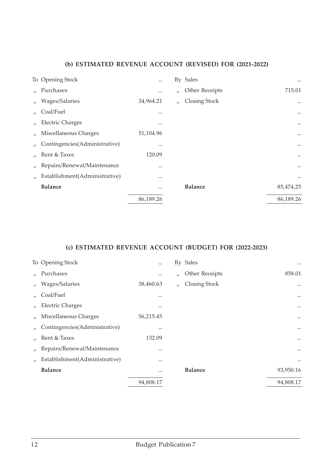|                   | To Opening Stock              | $\cdots$  |                   | By Sales       | $\cdots$  |
|-------------------|-------------------------------|-----------|-------------------|----------------|-----------|
| $\mathbf{u}$      | Purchases                     |           | $^{\prime\prime}$ | Other Receipts | 715.01    |
| $\prime$          | Wages/Salaries                | 34,964.21 | $^{\prime\prime}$ | Closing Stock  | $\cdots$  |
| $\mathcal{U}$     | Coal/Fuel                     |           |                   |                | $\cdots$  |
| $^{\prime\prime}$ | <b>Electric Charges</b>       |           |                   |                | $\cdots$  |
| $\prime$          | Miscellaneous Charges         | 51,104.96 |                   |                | $\cdots$  |
| $^{\prime\prime}$ | Contingencies(Administrative) |           |                   |                | $\cdots$  |
| $\prime$          | Rent & Taxes                  | 120.09    |                   |                | $\cdots$  |
| $^{\prime\prime}$ | Repairs/Renewal/Maintenance   |           |                   |                | $\cdots$  |
| $^{\prime\prime}$ | Establishment(Administrative) |           |                   |                |           |
|                   | <b>Balance</b>                |           |                   | <b>Balance</b> | 85,474.25 |
|                   |                               | 86,189.26 |                   |                | 86,189.26 |

|                   | To Opening Stock              | $\cdots$  |                   | By Sales       | $\cdots$  |
|-------------------|-------------------------------|-----------|-------------------|----------------|-----------|
| $\mathcal{U}$     | Purchases                     | $\cdots$  | $^{\prime\prime}$ | Other Receipts | 858.01    |
| $^{\prime\prime}$ | Wages/Salaries                | 38,460.63 | $\prime$          | Closing Stock  | $\cdots$  |
| $\prime$          | Coal/Fuel                     |           |                   |                | $\cdots$  |
| $^{\prime\prime}$ | <b>Electric Charges</b>       |           |                   |                | $\cdots$  |
|                   | Miscellaneous Charges         | 56,215.45 |                   |                | $\cdots$  |
|                   | Contingencies(Administrative) |           |                   |                | $\cdots$  |
|                   | Rent & Taxes                  | 132.09    |                   |                | $\cdots$  |
| $\prime$          | Repairs/Renewal/Maintenance   |           |                   |                | $\cdots$  |
| $^{\prime\prime}$ | Establishment(Administrative) |           |                   |                | $\cdots$  |
|                   | <b>Balance</b>                |           |                   | <b>Balance</b> | 93,950.16 |
|                   |                               | 94,808.17 |                   |                | 94,808.17 |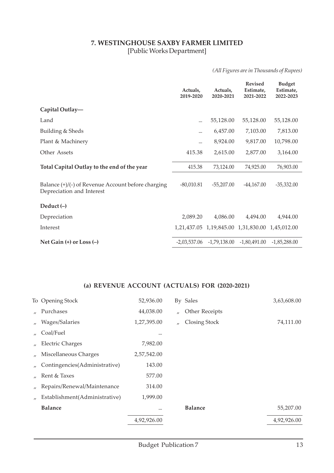#### **7. WESTINGHOUSE SAXBY FARMER LIMITED** [Public Works Department]

*(All Figures are in Thousands of Rupees)*

|                                                                                   | Actuals,<br>2019-2020 | Actuals,<br>2020-2021 | <b>Revised</b><br>Estimate,<br>2021-2022 | <b>Budget</b><br>Estimate,<br>2022-2023 |
|-----------------------------------------------------------------------------------|-----------------------|-----------------------|------------------------------------------|-----------------------------------------|
| Capital Outlay-                                                                   |                       |                       |                                          |                                         |
| Land                                                                              | $\cdots$              | 55,128.00             | 55,128.00                                | 55,128.00                               |
| Building & Sheds                                                                  |                       | 6,457.00              | 7,103.00                                 | 7,813.00                                |
| Plant & Machinery                                                                 | $\cdots$              | 8,924.00              | 9,817.00                                 | 10,798.00                               |
| Other Assets                                                                      | 415.38                | 2,615.00              | 2,877.00                                 | 3,164.00                                |
| Total Capital Outlay to the end of the year                                       | 415.38                | 73,124.00             | 74,925.00                                | 76,903.00                               |
| Balance $(+)/(-)$ of Revenue Account before charging<br>Depreciation and Interest | $-80,010.81$          | $-55,207.00$          | $-44,167.00$                             | $-35,332.00$                            |
| Deduct $(-)$                                                                      |                       |                       |                                          |                                         |
| Depreciation                                                                      | 2,089.20              | 4,086.00              | 4,494.00                                 | 4,944.00                                |
| Interest                                                                          |                       |                       | 1,21,437.05 1,19,845.00 1,31,830.00      | 1,45,012.00                             |
| Net Gain $(+)$ or Loss $(-)$                                                      | $-2,03,537.06$        | -1,79,138.00          | -1,80,491.00                             | $-1,85,288.00$                          |

|                   | To Opening Stock              | 52,936.00   |          | By Sales             | 3,63,608.00 |
|-------------------|-------------------------------|-------------|----------|----------------------|-------------|
| $\mathbf{u}$      | Purchases                     | 44,038.00   | $\prime$ | Other Receipts       |             |
| $\prime$          | Wages/Salaries                | 1,27,395.00 | $\prime$ | <b>Closing Stock</b> | 74,111.00   |
| $\overline{U}$    | Coal/Fuel                     |             |          |                      |             |
| $\prime$          | <b>Electric Charges</b>       | 7,982.00    |          |                      |             |
| $\mathbf{u}$      | Miscellaneous Charges         | 2,57,542.00 |          |                      |             |
| $\prime$          | Contingencies(Administrative) | 143.00      |          |                      |             |
| $\mathbf{u}$      | Rent & Taxes                  | 577.00      |          |                      |             |
| $^{\prime\prime}$ | Repairs/Renewal/Maintenance   | 314.00      |          |                      |             |
| $\prime$          | Establishment(Administrative) | 1,999.00    |          |                      |             |
|                   | <b>Balance</b>                |             |          | <b>Balance</b>       | 55,207.00   |
|                   |                               | 4,92,926.00 |          |                      | 4,92,926.00 |
|                   |                               |             |          |                      |             |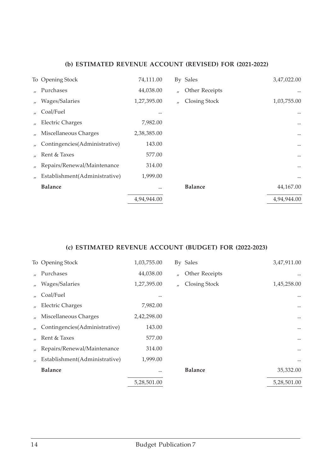|                   | To Opening Stock              | 74,111.00   |          | By Sales       | 3,47,022.00 |
|-------------------|-------------------------------|-------------|----------|----------------|-------------|
|                   | Purchases                     | 44,038.00   | $\prime$ | Other Receipts | $\cdots$    |
| $\prime$          | Wages/Salaries                | 1,27,395.00 | $\prime$ | Closing Stock  | 1,03,755.00 |
| $\mathbf{u}$      | Coal/Fuel                     |             |          |                |             |
| $^{\prime\prime}$ | <b>Electric Charges</b>       | 7,982.00    |          |                | $\cdots$    |
| $^{\prime\prime}$ | Miscellaneous Charges         | 2,38,385.00 |          |                | $\cdots$    |
|                   | Contingencies(Administrative) | 143.00      |          |                | $\cdots$    |
| $\mathbf{u}$      | Rent & Taxes                  | 577.00      |          |                | $\cdots$    |
| $^{\prime\prime}$ | Repairs/Renewal/Maintenance   | 314.00      |          |                | $\cdots$    |
| $\prime$          | Establishment(Administrative) | 1,999.00    |          |                | $\cdots$    |
|                   | <b>Balance</b>                |             |          | <b>Balance</b> | 44,167.00   |
|                   |                               | 4,94,944.00 |          |                | 4,94,944.00 |
|                   |                               |             |          |                |             |

|                   | To Opening Stock              | 1,03,755.00 |                   | By Sales       | 3,47,911.00 |
|-------------------|-------------------------------|-------------|-------------------|----------------|-------------|
|                   | Purchases                     | 44,038.00   | $\prime$          | Other Receipts |             |
| $^{\prime\prime}$ | Wages/Salaries                | 1,27,395.00 | $^{\prime\prime}$ | Closing Stock  | 1,45,258.00 |
|                   | Coal/Fuel                     |             |                   |                |             |
| $^{\prime\prime}$ | <b>Electric Charges</b>       | 7,982.00    |                   |                | $\cdots$    |
|                   | Miscellaneous Charges         | 2,42,298.00 |                   |                | $\cdots$    |
|                   | Contingencies(Administrative) | 143.00      |                   |                | $\cdots$    |
|                   | Rent & Taxes                  | 577.00      |                   |                | $\cdots$    |
| $^{\prime\prime}$ | Repairs/Renewal/Maintenance   | 314.00      |                   |                |             |
|                   | Establishment(Administrative) | 1,999.00    |                   |                | $\cdots$    |
|                   | <b>Balance</b>                |             |                   | <b>Balance</b> | 35,332.00   |
|                   |                               | 5,28,501.00 |                   |                | 5,28,501.00 |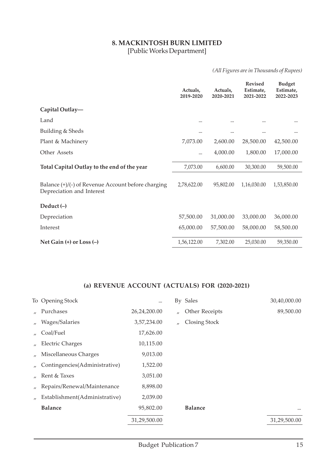#### **8. MACKINTOSH BURN LIMITED** [Public Works Department]

#### *(All Figures are in Thousands of Rupees)*

|                                                                                   | Actuals,<br>2019-2020 | Actuals,<br>2020-2021 | <b>Revised</b><br>Estimate,<br>2021-2022 | <b>Budget</b><br>Estimate,<br>2022-2023 |
|-----------------------------------------------------------------------------------|-----------------------|-----------------------|------------------------------------------|-----------------------------------------|
| Capital Outlay-                                                                   |                       |                       |                                          |                                         |
| Land                                                                              | $\cdots$              |                       |                                          |                                         |
| Building & Sheds                                                                  | $\cdots$              |                       |                                          |                                         |
| Plant & Machinery                                                                 | 7,073.00              | 2,600.00              | 28,500.00                                | 42,500.00                               |
| Other Assets                                                                      |                       | 4,000.00              | 1,800.00                                 | 17,000.00                               |
| Total Capital Outlay to the end of the year                                       | 7,073.00              | 6,600.00              | 30,300.00                                | 59,500.00                               |
| Balance $(+)/(-)$ of Revenue Account before charging<br>Depreciation and Interest | 2,78,622.00           | 95,802.00             | 1,16,030.00                              | 1,53,850.00                             |
| Deduct $(-)$                                                                      |                       |                       |                                          |                                         |
| Depreciation                                                                      | 57,500.00             | 31,000.00             | 33,000.00                                | 36,000.00                               |
| Interest                                                                          | 65,000.00             | 57,500.00             | 58,000.00                                | 58,500.00                               |
| Net Gain $(+)$ or Loss $(-)$                                                      | 1,56,122.00           | 7,302.00              | 25,030.00                                | 59,350.00                               |

|                   | To Opening Stock              |              |              | By Sales             | 30,40,000.00 |
|-------------------|-------------------------------|--------------|--------------|----------------------|--------------|
| $\mathbf{u}$      | Purchases                     | 26,24,200.00 | $\prime$     | Other Receipts       | 89,500.00    |
| $^{\prime\prime}$ | Wages/Salaries                | 3,57,234.00  | $\mathbf{r}$ | <b>Closing Stock</b> |              |
| $^{\prime\prime}$ | Coal/Fuel                     | 17,626.00    |              |                      |              |
| $^{\prime\prime}$ | <b>Electric Charges</b>       | 10,115.00    |              |                      |              |
|                   | Miscellaneous Charges         | 9,013.00     |              |                      |              |
|                   | Contingencies(Administrative) | 1,522.00     |              |                      |              |
|                   | Rent & Taxes                  | 3,051.00     |              |                      |              |
| $^{\prime\prime}$ | Repairs/Renewal/Maintenance   | 8,898.00     |              |                      |              |
| $^{\prime}$       | Establishment(Administrative) | 2,039.00     |              |                      |              |
|                   | <b>Balance</b>                | 95,802.00    |              | <b>Balance</b>       | $\cdots$     |
|                   |                               | 31,29,500.00 |              |                      | 31,29,500.00 |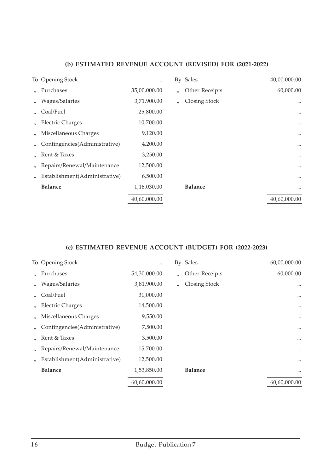|                   | To Opening Stock              |              |                   | By Sales       | 40,00,000.00 |
|-------------------|-------------------------------|--------------|-------------------|----------------|--------------|
|                   | Purchases                     | 35,00,000.00 | $^{\prime\prime}$ | Other Receipts | 60,000.00    |
| $^{\prime\prime}$ | Wages/Salaries                | 3,71,900.00  | $^{\prime\prime}$ | Closing Stock  |              |
|                   | Coal/Fuel                     | 25,800.00    |                   |                |              |
|                   | <b>Electric Charges</b>       | 10,700.00    |                   |                | $\cdots$     |
|                   | Miscellaneous Charges         | 9,120.00     |                   |                | $\cdots$     |
|                   | Contingencies(Administrative) | 4,200.00     |                   |                | $\cdots$     |
|                   | Rent & Taxes                  | 3,250.00     |                   |                |              |
| $^{\prime\prime}$ | Repairs/Renewal/Maintenance   | 12,500.00    |                   |                | $\cdots$     |
|                   | Establishment(Administrative) | 6,500.00     |                   |                | $\cdots$     |
|                   | <b>Balance</b>                | 1,16,030.00  |                   | <b>Balance</b> | $\cdots$     |
|                   |                               | 40,60,000.00 |                   |                | 40,60,000.00 |

|                   | To Opening Stock              | $\cdots$     |              | By Sales       | 60,00,000.00 |
|-------------------|-------------------------------|--------------|--------------|----------------|--------------|
|                   | Purchases                     | 54,30,000.00 | $\prime$     | Other Receipts | 60,000.00    |
| $^{\prime\prime}$ | Wages/Salaries                | 3,81,900.00  | $\mathbf{u}$ | Closing Stock  |              |
|                   | Coal/Fuel                     | 31,000.00    |              |                | $\cdots$     |
|                   | <b>Electric Charges</b>       | 14,500.00    |              |                | $\cdots$     |
|                   | Miscellaneous Charges         | 9,550.00     |              |                | $\cdots$     |
|                   | Contingencies(Administrative) | 7,500.00     |              |                | $\cdots$     |
|                   | Rent & Taxes                  | 3,500.00     |              |                |              |
| $\prime$          | Repairs/Renewal/Maintenance   | 15,700.00    |              |                | $\cdots$     |
|                   | Establishment(Administrative) | 12,500.00    |              |                | $\cdots$     |
|                   | <b>Balance</b>                | 1,53,850.00  |              | <b>Balance</b> | $\cdots$     |
|                   |                               | 60,60,000.00 |              |                | 60,60,000.00 |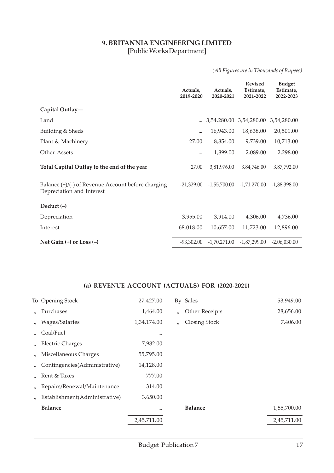#### **9. BRITANNIA ENGINEERING LIMITED** [Public Works Department]

*(All Figures are in Thousands of Rupees)*

|                                                                                   | Actuals,<br>2019-2020 | Actuals,<br>2020-2021 | <b>Revised</b><br>Estimate,<br>2021-2022 | <b>Budget</b><br>Estimate,<br>2022-2023 |
|-----------------------------------------------------------------------------------|-----------------------|-----------------------|------------------------------------------|-----------------------------------------|
| Capital Outlay-                                                                   |                       |                       |                                          |                                         |
| Land                                                                              |                       |                       | 3,54,280.00 3,54,280.00                  | 3,54,280.00                             |
| Building & Sheds                                                                  | $\cdots$              | 16,943.00             | 18,638.00                                | 20,501.00                               |
| Plant & Machinery                                                                 | 27.00                 | 8,854.00              | 9,739.00                                 | 10,713.00                               |
| Other Assets                                                                      |                       | 1,899.00              | 2,089.00                                 | 2,298.00                                |
| Total Capital Outlay to the end of the year                                       | 27.00                 | 3,81,976.00           | 3,84,746.00                              | 3,87,792.00                             |
| Balance $(+)/(-)$ of Revenue Account before charging<br>Depreciation and Interest | $-21,329.00$          | $-1,55,700.00$        | $-1,71,270.00$                           | $-1,88,398.00$                          |
| Deduct $(-)$                                                                      |                       |                       |                                          |                                         |
| Depreciation                                                                      | 3,955.00              | 3,914.00              | 4,306.00                                 | 4,736.00                                |
| Interest                                                                          | 68,018.00             | 10,657.00             | 11,723.00                                | 12,896.00                               |
| Net Gain $(+)$ or Loss $(-)$                                                      | $-93,302.00$          | $-1,70,271.00$        | -1,87,299.00                             | $-2,06,030.00$                          |

|                   | To Opening Stock              | 27,427.00   |              | By Sales       | 53,949.00   |
|-------------------|-------------------------------|-------------|--------------|----------------|-------------|
| $\mathbf{u}$      | Purchases                     | 1,464.00    | $\mathbf{r}$ | Other Receipts | 28,656.00   |
| $\prime$          | Wages/Salaries                | 1,34,174.00 | $\prime$     | Closing Stock  | 7,406.00    |
| $^{\prime\prime}$ | Coal/Fuel                     |             |              |                |             |
| $^{\prime\prime}$ | <b>Electric Charges</b>       | 7,982.00    |              |                |             |
|                   | Miscellaneous Charges         | 55,795.00   |              |                |             |
|                   | Contingencies(Administrative) | 14,128.00   |              |                |             |
|                   | Rent & Taxes                  | 777.00      |              |                |             |
| $^{\prime\prime}$ | Repairs/Renewal/Maintenance   | 314.00      |              |                |             |
| $^{\prime\prime}$ | Establishment(Administrative) | 3,650.00    |              |                |             |
|                   | <b>Balance</b>                |             |              | <b>Balance</b> | 1,55,700.00 |
|                   |                               | 2,45,711.00 |              |                | 2,45,711.00 |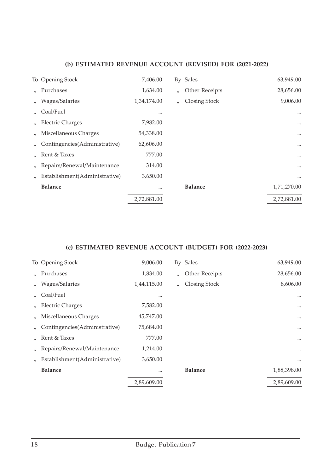|                   | To Opening Stock              | 7,406.00    |                   | By Sales       | 63,949.00   |
|-------------------|-------------------------------|-------------|-------------------|----------------|-------------|
|                   | Purchases                     | 1,634.00    | $^{\prime\prime}$ | Other Receipts | 28,656.00   |
| $\prime$          | Wages/Salaries                | 1,34,174.00 | $^{\prime\prime}$ | Closing Stock  | 9,006.00    |
| $^{\prime}$       | Coal/Fuel                     |             |                   |                |             |
| $^{\prime\prime}$ | <b>Electric Charges</b>       | 7,982.00    |                   |                |             |
|                   | Miscellaneous Charges         | 54,338.00   |                   |                | $\cdots$    |
|                   | Contingencies(Administrative) | 62,606.00   |                   |                | $\cdots$    |
|                   | Rent & Taxes                  | 777.00      |                   |                | $\cdots$    |
| $^{\prime\prime}$ | Repairs/Renewal/Maintenance   | 314.00      |                   |                | $\cdots$    |
| $\prime$          | Establishment(Administrative) | 3,650.00    |                   |                | $\cdots$    |
|                   | <b>Balance</b>                |             |                   | <b>Balance</b> | 1,71,270.00 |
|                   |                               | 2,72,881.00 |                   |                | 2,72,881.00 |

|                   | To Opening Stock              | 9,006.00    |                   | By Sales       | 63,949.00   |
|-------------------|-------------------------------|-------------|-------------------|----------------|-------------|
|                   | Purchases                     | 1,834.00    | $\prime$          | Other Receipts | 28,656.00   |
| $^{\prime\prime}$ | Wages/Salaries                | 1,44,115.00 | $^{\prime\prime}$ | Closing Stock  | 8,606.00    |
|                   | Coal/Fuel                     |             |                   |                | $\cdots$    |
|                   | <b>Electric Charges</b>       | 7,582.00    |                   |                | $\cdots$    |
|                   | Miscellaneous Charges         | 45,747.00   |                   |                | $\cdots$    |
|                   | Contingencies(Administrative) | 75,684.00   |                   |                | $\cdots$    |
|                   | Rent & Taxes                  | 777.00      |                   |                | $\cdots$    |
| $^{\prime\prime}$ | Repairs/Renewal/Maintenance   | 1,214.00    |                   |                | $\cdots$    |
|                   | Establishment(Administrative) | 3,650.00    |                   |                |             |
|                   | <b>Balance</b>                |             |                   | <b>Balance</b> | 1,88,398.00 |
|                   |                               | 2,89,609.00 |                   |                | 2,89,609.00 |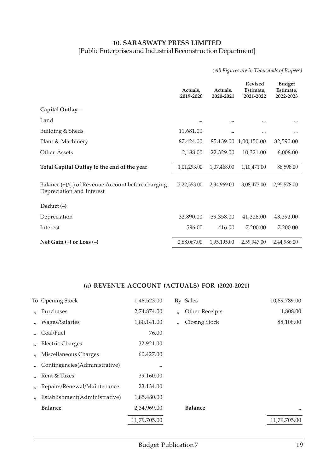#### **10. SARASWATY PRESS LIMITED** [Public Enterprises and Industrial Reconstruction Department]

*(All Figures are in Thousands of Rupees)*

|                                                                                 | Actuals,<br>2019-2020 | Actuals,<br>2020-2021 | <b>Revised</b><br>Estimate,<br>2021-2022 | <b>Budget</b><br>Estimate,<br>2022-2023 |
|---------------------------------------------------------------------------------|-----------------------|-----------------------|------------------------------------------|-----------------------------------------|
| Capital Outlay-                                                                 |                       |                       |                                          |                                         |
| Land                                                                            |                       |                       |                                          |                                         |
| Building & Sheds                                                                | 11,681.00             |                       |                                          |                                         |
| Plant & Machinery                                                               | 87,424.00             | 85,139.00             | 1,00,150.00                              | 82,590.00                               |
| Other Assets                                                                    | 2,188.00              | 22,329.00             | 10,321.00                                | 6,008.00                                |
| Total Capital Outlay to the end of the year                                     | 1,01,293.00           | 1,07,468.00           | 1,10,471.00                              | 88,598.00                               |
| Balance (+)/(-) of Revenue Account before charging<br>Depreciation and Interest | 3,22,553.00           | 2,34,969.00           | 3,08,473.00                              | 2,95,578.00                             |
| Deduct $(-)$                                                                    |                       |                       |                                          |                                         |
| Depreciation                                                                    | 33,890.00             | 39,358.00             | 41,326.00                                | 43,392.00                               |
| Interest                                                                        | 596.00                | 416.00                | 7,200.00                                 | 7,200.00                                |
| Net Gain $(+)$ or Loss $(-)$                                                    | 2,88,067.00           | 1,95,195.00           | 2,59,947.00                              | 2,44,986.00                             |

|                   | To Opening Stock              | 1,48,523.00  |                   | By Sales       | 10,89,789.00 |
|-------------------|-------------------------------|--------------|-------------------|----------------|--------------|
| $\mathbf{r}$      | Purchases                     | 2,74,874.00  | $\prime$          | Other Receipts | 1,808.00     |
| $\prime$          | Wages/Salaries                | 1,80,141.00  | $^{\prime\prime}$ | Closing Stock  | 88,108.00    |
| $^{\prime\prime}$ | Coal/Fuel                     | 76.00        |                   |                |              |
| $^{\prime\prime}$ | <b>Electric Charges</b>       | 32,921.00    |                   |                |              |
|                   | Miscellaneous Charges         | 60,427.00    |                   |                |              |
|                   | Contingencies(Administrative) |              |                   |                |              |
| $\mathbf{u}$      | Rent & Taxes                  | 39,160.00    |                   |                |              |
| $^{\prime\prime}$ | Repairs/Renewal/Maintenance   | 23,134.00    |                   |                |              |
|                   | Establishment(Administrative) | 1,85,480.00  |                   |                |              |
|                   | <b>Balance</b>                | 2,34,969.00  |                   | <b>Balance</b> | $\cdots$     |
|                   |                               | 11,79,705.00 |                   |                | 11,79,705.00 |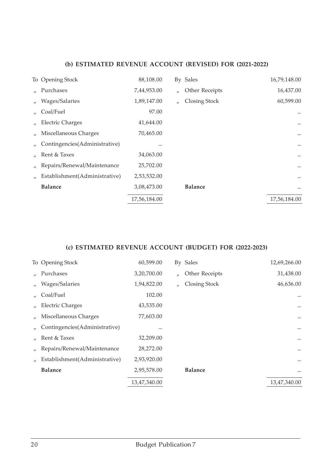|                               | 88,108.00        |                   |                | 16,79,148.00 |
|-------------------------------|------------------|-------------------|----------------|--------------|
| Purchases                     | 7,44,953.00      | $\prime$          | Other Receipts | 16,437.00    |
| Wages/Salaries                | 1,89,147.00      | $^{\prime\prime}$ | Closing Stock  | 60,599.00    |
| Coal/Fuel                     | 97.00            |                   |                |              |
| <b>Electric Charges</b>       | 41,644.00        |                   |                | $\cdots$     |
| Miscellaneous Charges         | 70,465.00        |                   |                | $\cdots$     |
| Contingencies(Administrative) |                  |                   |                | $\cdots$     |
| Rent & Taxes                  | 34,063.00        |                   |                | $\cdots$     |
| Repairs/Renewal/Maintenance   | 25,702.00        |                   |                | $\cdots$     |
| Establishment(Administrative) | 2,53,532.00      |                   |                | $\cdots$     |
| <b>Balance</b>                | 3,08,473.00      |                   | <b>Balance</b> | $\cdots$     |
|                               | 17,56,184.00     |                   |                | 17,56,184.00 |
|                               | To Opening Stock |                   |                | By Sales     |

|                   | To Opening Stock              | 60,599.00    |          | By Sales       | 12,69,266.00 |
|-------------------|-------------------------------|--------------|----------|----------------|--------------|
|                   | Purchases                     | 3,20,700.00  | $\prime$ | Other Receipts | 31,438.00    |
| $^{\prime\prime}$ | Wages/Salaries                | 1,94,822.00  | $\prime$ | Closing Stock  | 46,636.00    |
|                   | Coal/Fuel                     | 102.00       |          |                | $\cdots$     |
|                   | <b>Electric Charges</b>       | 43,535.00    |          |                | $\cdots$     |
|                   | Miscellaneous Charges         | 77,603.00    |          |                | $\cdots$     |
|                   | Contingencies(Administrative) |              |          |                | $\cdots$     |
|                   | Rent & Taxes                  | 32,209.00    |          |                | $\cdots$     |
| $^{\prime\prime}$ | Repairs/Renewal/Maintenance   | 28,272.00    |          |                | $\cdots$     |
|                   | Establishment(Administrative) | 2,93,920.00  |          |                | $\cdots$     |
|                   | <b>Balance</b>                | 2,95,578.00  |          | <b>Balance</b> | $\cdots$     |
|                   |                               | 13,47,340.00 |          |                | 13,47,340.00 |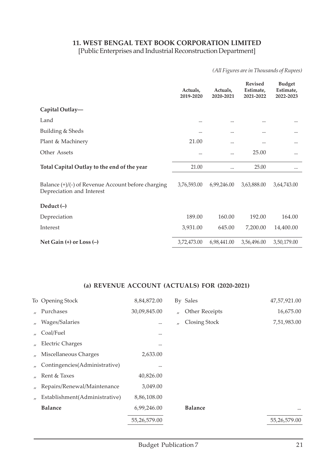## **11. WEST BENGAL TEXT BOOK CORPORATION LIMITED**

[Public Enterprises and Industrial Reconstruction Department]

*(All Figures are in Thousands of Rupees)*

|                                                                                   | Actuals,<br>2019-2020 | Actuals,<br>2020-2021 | <b>Revised</b><br>Estimate,<br>2021-2022 | <b>Budget</b><br>Estimate,<br>2022-2023 |
|-----------------------------------------------------------------------------------|-----------------------|-----------------------|------------------------------------------|-----------------------------------------|
| Capital Outlay-                                                                   |                       |                       |                                          |                                         |
| Land                                                                              |                       |                       |                                          |                                         |
| Building & Sheds                                                                  | $\ddotsc$             |                       |                                          |                                         |
| Plant & Machinery                                                                 | 21.00                 |                       |                                          |                                         |
| Other Assets                                                                      |                       |                       | 25.00                                    |                                         |
| Total Capital Outlay to the end of the year                                       | 21.00                 |                       | 25.00                                    | $\cdots$                                |
| Balance $(+)/(-)$ of Revenue Account before charging<br>Depreciation and Interest | 3,76,593.00           | 6,99,246.00           | 3,63,888.00                              | 3,64,743.00                             |
| Deduct $(-)$                                                                      |                       |                       |                                          |                                         |
| Depreciation                                                                      | 189.00                | 160.00                | 192.00                                   | 164.00                                  |
| Interest                                                                          | 3,931.00              | 645.00                | 7,200.00                                 | 14,400.00                               |
| Net Gain $(+)$ or Loss $(-)$                                                      | 3,72,473.00           | 6,98,441.00           | 3,56,496.00                              | 3,50,179.00                             |

|                   | To Opening Stock              | 8,84,872.00  |                   | By Sales       | 47,57,921.00 |
|-------------------|-------------------------------|--------------|-------------------|----------------|--------------|
|                   | Purchases                     | 30,09,845.00 | $^{\prime\prime}$ | Other Receipts | 16,675.00    |
| $\prime$          | Wages/Salaries                | $\cdots$     | $^{\prime\prime}$ | Closing Stock  | 7,51,983.00  |
| $\mathcal{L}$     | Coal/Fuel                     | $\cdots$     |                   |                |              |
| $^{\prime}$       | <b>Electric Charges</b>       | $\cdots$     |                   |                |              |
| $^{\prime\prime}$ | Miscellaneous Charges         | 2,633.00     |                   |                |              |
|                   | Contingencies(Administrative) |              |                   |                |              |
| $\prime$          | Rent & Taxes                  | 40,826.00    |                   |                |              |
| $^{\prime\prime}$ | Repairs/Renewal/Maintenance   | 3,049.00     |                   |                |              |
|                   | Establishment(Administrative) | 8,86,108.00  |                   |                |              |
|                   | <b>Balance</b>                | 6,99,246.00  |                   | <b>Balance</b> | $\cdots$     |
|                   |                               | 55,26,579.00 |                   |                | 55,26,579.00 |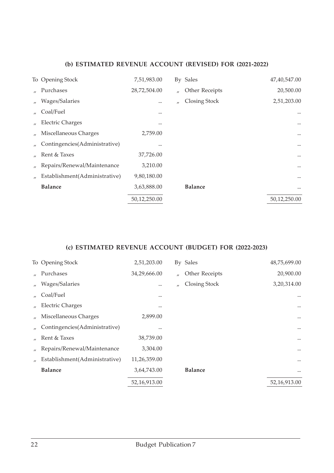|                   | To Opening Stock              | 7,51,983.00  |                   | By Sales       | 47,40,547.00 |
|-------------------|-------------------------------|--------------|-------------------|----------------|--------------|
|                   | Purchases                     | 28,72,504.00 | $\prime$          | Other Receipts | 20,500.00    |
| $^{\prime\prime}$ | Wages/Salaries                |              | $^{\prime\prime}$ | Closing Stock  | 2,51,203.00  |
|                   | Coal/Fuel                     | $\cdots$     |                   |                |              |
| $^{\prime\prime}$ | <b>Electric Charges</b>       |              |                   |                | $\cdots$     |
|                   | Miscellaneous Charges         | 2,759.00     |                   |                |              |
|                   | Contingencies(Administrative) |              |                   |                | $\cdots$     |
|                   | Rent & Taxes                  | 37,726.00    |                   |                | $\cdots$     |
| $^{\prime\prime}$ | Repairs/Renewal/Maintenance   | 3,210.00     |                   |                | $\cdots$     |
|                   | Establishment(Administrative) | 9,80,180.00  |                   |                |              |
|                   | <b>Balance</b>                | 3,63,888.00  |                   | <b>Balance</b> | $\cdots$     |
|                   |                               | 50,12,250.00 |                   |                | 50,12,250.00 |

|                   | To Opening Stock              | 2,51,203.00  |                   | By Sales       | 48,75,699.00 |
|-------------------|-------------------------------|--------------|-------------------|----------------|--------------|
|                   | " Purchases                   | 34,29,666.00 | $\prime$          | Other Receipts | 20,900.00    |
| $\prime$          | Wages/Salaries                |              | $^{\prime\prime}$ | Closing Stock  | 3,20,314.00  |
| $^{\prime\prime}$ | Coal/Fuel                     | $\cdots$     |                   |                | $\cdots$     |
| $\prime$          | <b>Electric Charges</b>       |              |                   |                | $\cdots$     |
|                   | Miscellaneous Charges         | 2,899.00     |                   |                | $\cdots$     |
|                   | Contingencies(Administrative) |              |                   |                | $\cdots$     |
|                   | Rent & Taxes                  | 38,739.00    |                   |                | $\cdots$     |
| $^{\prime\prime}$ | Repairs/Renewal/Maintenance   | 3,304.00     |                   |                | $\cdots$     |
| $^{\prime\prime}$ | Establishment(Administrative) | 11,26,359.00 |                   |                | $\cdots$     |
|                   | <b>Balance</b>                | 3,64,743.00  |                   | <b>Balance</b> | $\cdots$     |
|                   |                               | 52,16,913.00 |                   |                | 52,16,913.00 |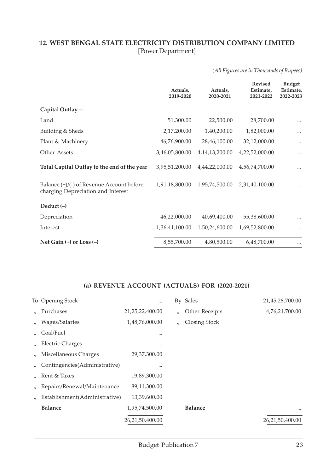#### **12. WEST BENGAL STATE ELECTRICITY DISTRIBUTION COMPANY LIMITED** [Power Department]

#### *(All Figures are in Thousands of Rupees)*

|                                                                                 | Actuals,<br>2019-2020 | Actuals,<br>2020-2021 | <b>Revised</b><br>Estimate,<br>2021-2022 | <b>Budget</b><br>Estimate,<br>2022-2023 |
|---------------------------------------------------------------------------------|-----------------------|-----------------------|------------------------------------------|-----------------------------------------|
| Capital Outlay-                                                                 |                       |                       |                                          |                                         |
| Land                                                                            | 51,300.00             | 22,500.00             | 28,700.00                                | $\cdots$                                |
| Building & Sheds                                                                | 2,17,200.00           | 1,40,200.00           | 1,82,000.00                              |                                         |
| Plant & Machinery                                                               | 46,76,900.00          | 28,46,100.00          | 32,12,000.00                             |                                         |
| Other Assets                                                                    | 3,46,05,800.00        | 4, 14, 13, 200. 00    | 4,22,52,000.00                           |                                         |
| Total Capital Outlay to the end of the year                                     | 3,95,51,200.00        | 4,44,22,000.00        | 4,56,74,700.00                           | $\cdots$                                |
| Balance (+)/(-) of Revenue Account before<br>charging Depreciation and Interest | 1,91,18,800.00        | 1,95,74,500.00        | 2,31,40,100.00                           |                                         |
| Deduct $(-)$                                                                    |                       |                       |                                          |                                         |
| Depreciation                                                                    | 46,22,000.00          | 40,69,400.00          | 55,38,600.00                             | $\cdots$                                |
| Interest                                                                        | 1,36,41,100.00        | 1,50,24,600.00        | 1,69,52,800.00                           |                                         |
| Net Gain $(+)$ or Loss $(-)$                                                    | 8,55,700.00           | 4,80,500.00           | 6,48,700.00                              | $\cdots$                                |

|                   | To Opening Stock              |                    |                   | By Sales       | 21,45,28,700.00 |
|-------------------|-------------------------------|--------------------|-------------------|----------------|-----------------|
|                   | Purchases                     | 21, 25, 22, 400.00 | $^{\prime\prime}$ | Other Receipts | 4,76,21,700.00  |
| $\prime$          | Wages/Salaries                | 1,48,76,000.00     | $^{\prime\prime}$ | Closing Stock  |                 |
| $^{\prime\prime}$ | Coal/Fuel                     | $\cdots$           |                   |                |                 |
| $^{\prime\prime}$ | <b>Electric Charges</b>       |                    |                   |                |                 |
|                   | Miscellaneous Charges         | 29,37,300.00       |                   |                |                 |
|                   | Contingencies(Administrative) |                    |                   |                |                 |
|                   | Rent & Taxes                  | 19,89,300.00       |                   |                |                 |
| $\prime$          | Repairs/Renewal/Maintenance   | 89,11,300.00       |                   |                |                 |
| $^{\prime\prime}$ | Establishment(Administrative) | 13,39,600.00       |                   |                |                 |
|                   | <b>Balance</b>                | 1,95,74,500.00     |                   | <b>Balance</b> | $\cdots$        |
|                   |                               | 26,21,50,400.00    |                   |                | 26,21,50,400.00 |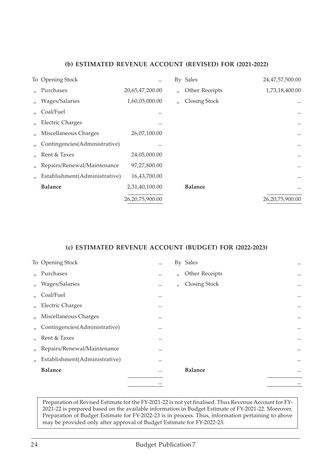| To Opening Stock              |                    |                   | By Sales       | 24,47,57,500.00 |
|-------------------------------|--------------------|-------------------|----------------|-----------------|
| Purchases                     | 20,65,47,200.00    | $^{\prime\prime}$ | Other Receipts | 1,73,18,400.00  |
| Wages/Salaries                | 1,60,05,000.00     | $^{\prime\prime}$ | Closing Stock  | $\cdots$        |
| Coal/Fuel                     | $\cdots$           |                   |                | $\cdots$        |
| <b>Electric Charges</b>       | $\cdots$           |                   |                | $\cdots$        |
| Miscellaneous Charges         | 26,07,100.00       |                   |                | $\cdots$        |
| Contingencies(Administrative) |                    |                   |                | $\cdots$        |
| Rent & Taxes                  | 24,05,000.00       |                   |                | $\cdots$        |
| Repairs/Renewal/Maintenance   | 97,27,800.00       |                   |                | $\cdots$        |
| Establishment(Administrative) | 16,43,700.00       |                   |                | $\cdots$        |
| <b>Balance</b>                | 2,31,40,100.00     |                   | <b>Balance</b> | $\cdots$        |
|                               | 26, 20, 75, 900.00 |                   |                | 26,20,75,900.00 |

#### **(c) ESTIMATED REVENUE ACCOUNT (BUDGET) FOR (2022-2023)**

|                   | To Opening Stock              | $\cdots$ |                   | By Sales       | $\cdots$ |
|-------------------|-------------------------------|----------|-------------------|----------------|----------|
|                   | " Purchases                   |          | $^{\prime\prime}$ | Other Receipts | $\cdots$ |
| $\prime$          | Wages/Salaries                |          | $^{\prime\prime}$ | Closing Stock  | $\cdots$ |
| $\prime$          | Coal/Fuel                     | $\cdots$ |                   |                | $\cdots$ |
| $^{\prime\prime}$ | <b>Electric Charges</b>       | $\cdots$ |                   |                | $\cdots$ |
| $\prime$          | Miscellaneous Charges         |          |                   |                | $\cdots$ |
| $^{\prime\prime}$ | Contingencies(Administrative) |          |                   |                | $\cdots$ |
| $\mathbf{u}$      | Rent & Taxes                  |          |                   |                | $\cdots$ |
| $\prime$          | Repairs/Renewal/Maintenance   |          |                   |                | $\cdots$ |
| $^{\prime\prime}$ | Establishment(Administrative) |          |                   |                | $\cdots$ |
|                   | <b>Balance</b>                | $\cdots$ |                   | <b>Balance</b> | $\cdots$ |
|                   |                               |          |                   |                | $\cdots$ |

Preparation of Revised Estimate for the FY-2021-22 is not yet finalised. Thus Revenue Account for FY-2021-22 is prepared based on the available information in Budget Estimate of FY-2021-22. Moreover, Preparation of Budget Estimate for FY-2022-23 is in process. Thus, information pertaining to above may be provided only after approval of Budget Estimate for FY-2022-23.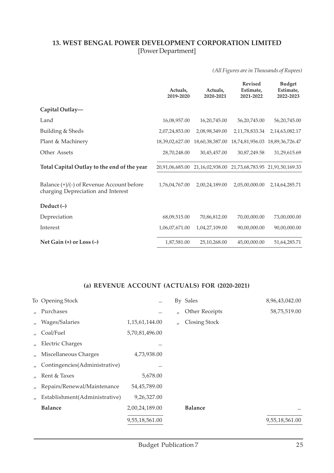#### **13. WEST BENGAL POWER DEVELOPMENT CORPORATION LIMITED** [Power Department]

*(All Figures are in Thousands of Rupees)*

|                                                                                 | Actuals,<br>2019-2020 | Actuals,<br>2020-2021 | <b>Revised</b><br>Estimate,<br>2021-2022 | <b>Budget</b><br>Estimate,<br>2022-2023 |
|---------------------------------------------------------------------------------|-----------------------|-----------------------|------------------------------------------|-----------------------------------------|
| Capital Outlay-                                                                 |                       |                       |                                          |                                         |
| Land                                                                            | 16,08,957.00          | 16,20,745.00          | 56,20,745.00                             | 56,20,745.00                            |
| Building & Sheds                                                                | 2,07,24,853.00        | 2,08,98,349.00        | 2,11,78,833.34                           | 2, 14, 63, 082. 17                      |
| Plant & Machinery                                                               | 18,39,02,627.00       | 18,60,38,387.00       |                                          | 18,74,81,956.03 18,89,36,726.47         |
| Other Assets                                                                    | 28,70,248.00          | 30,45,457.00          | 30,87,249.58                             | 31,29,615.69                            |
| Total Capital Outlay to the end of the year                                     | 20,91,06,685.00       | 21,16,02,938.00       | 21,73,68,783.95 21,91,50,169.33          |                                         |
| Balance (+)/(-) of Revenue Account before<br>charging Depreciation and Interest | 1,76,04,767.00        | 2,00,24,189.00        | 2,05,00,000.00                           | 2, 14, 64, 285. 71                      |
| Deduct $(-)$                                                                    |                       |                       |                                          |                                         |
| Depreciation                                                                    | 68,09,515.00          | 70,86,812.00          | 70,00,000.00                             | 73,00,000.00                            |
| Interest                                                                        | 1,06,07,671.00        | 1,04,27,109.00        | 90,00,000.00                             | 90,00,000.00                            |
| Net Gain $(+)$ or Loss $(-)$                                                    | 1,87,581.00           | 25,10,268.00          | 45,00,000.00                             | 51,64,285.71                            |

|                   | To Opening Stock              |                   |                   | By Sales       | 8,96,43,042.00 |
|-------------------|-------------------------------|-------------------|-------------------|----------------|----------------|
|                   | Purchases                     |                   | $^{\prime\prime}$ | Other Receipts | 58,75,519.00   |
| $\prime$          | Wages/Salaries                | 1, 15, 61, 144.00 | $\mathbf{u}$      | Closing Stock  |                |
| $^{\prime\prime}$ | Coal/Fuel                     | 5,70,81,496.00    |                   |                |                |
|                   | <b>Electric Charges</b>       |                   |                   |                |                |
|                   | Miscellaneous Charges         | 4,73,938.00       |                   |                |                |
|                   | Contingencies(Administrative) |                   |                   |                |                |
|                   | Rent & Taxes                  | 5,678.00          |                   |                |                |
| $^{\prime\prime}$ | Repairs/Renewal/Maintenance   | 54,45,789.00      |                   |                |                |
|                   | Establishment(Administrative) | 9,26,327.00       |                   |                |                |
|                   | <b>Balance</b>                | 2,00,24,189.00    |                   | <b>Balance</b> | $\cdots$       |
|                   |                               | 9,55,18,561.00    |                   |                | 9,55,18,561.00 |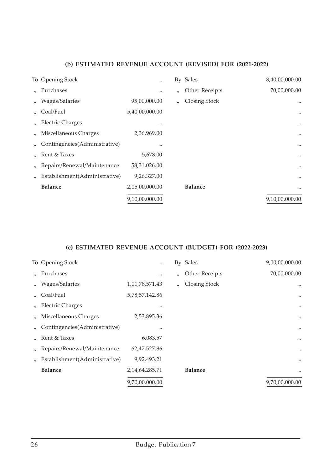|                   | To Opening Stock              |                |                   | By Sales       | 8,40,00,000.00 |
|-------------------|-------------------------------|----------------|-------------------|----------------|----------------|
|                   | Purchases                     | $\cdots$       | $^{\prime\prime}$ | Other Receipts | 70,00,000.00   |
| $^{\prime\prime}$ | Wages/Salaries                | 95,00,000.00   | $^{\prime\prime}$ | Closing Stock  |                |
|                   | Coal/Fuel                     | 5,40,00,000.00 |                   |                | $\cdots$       |
|                   | <b>Electric Charges</b>       | $\cdots$       |                   |                | $\cdots$       |
|                   | Miscellaneous Charges         | 2,36,969.00    |                   |                | $\cdots$       |
|                   | Contingencies(Administrative) |                |                   |                | $\cdots$       |
|                   | Rent & Taxes                  | 5,678.00       |                   |                | $\cdots$       |
|                   | Repairs/Renewal/Maintenance   | 58,31,026.00   |                   |                | $\cdots$       |
|                   | Establishment(Administrative) | 9,26,327.00    |                   |                | $\cdots$       |
|                   | <b>Balance</b>                | 2,05,00,000.00 |                   | <b>Balance</b> | $\cdots$       |
|                   |                               | 9,10,00,000.00 |                   |                | 9,10,00,000.00 |
|                   |                               |                |                   |                |                |

|                   | To Opening Stock              | $\cdots$           |                   | By Sales       | 9,00,00,000.00 |
|-------------------|-------------------------------|--------------------|-------------------|----------------|----------------|
|                   | Purchases                     |                    | $^{\prime\prime}$ | Other Receipts | 70,00,000.00   |
| $^{\prime\prime}$ | Wages/Salaries                | 1,01,78,571.43     | $\mathbf{u}$      | Closing Stock  | $\cdots$       |
|                   | Coal/Fuel                     | 5,78,57,142.86     |                   |                | $\cdots$       |
|                   | <b>Electric Charges</b>       |                    |                   |                | $\cdots$       |
|                   | Miscellaneous Charges         | 2,53,895.36        |                   |                | $\cdots$       |
|                   | Contingencies(Administrative) |                    |                   |                | $\cdots$       |
|                   | Rent & Taxes                  | 6,083.57           |                   |                | $\cdots$       |
| $^{\prime\prime}$ | Repairs/Renewal/Maintenance   | 62,47,527.86       |                   |                | $\cdots$       |
|                   | Establishment(Administrative) | 9,92,493.21        |                   |                |                |
|                   | <b>Balance</b>                | 2, 14, 64, 285. 71 |                   | <b>Balance</b> | $\cdots$       |
|                   |                               | 9,70,00,000.00     |                   |                | 9,70,00,000.00 |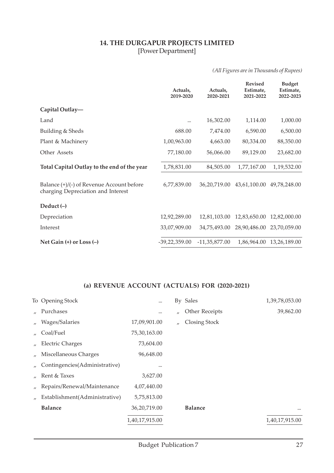#### **14. THE DURGAPUR PROJECTS LIMITED** [Power Department]

*(All Figures are in Thousands of Rupees)*

|                                                                                 | Actuals,<br>2019-2020 | Actuals,<br>2020-2021 | <b>Revised</b><br>Estimate,<br>2021-2022 | <b>Budget</b><br>Estimate,<br>2022-2023 |
|---------------------------------------------------------------------------------|-----------------------|-----------------------|------------------------------------------|-----------------------------------------|
| Capital Outlay-                                                                 |                       |                       |                                          |                                         |
| Land                                                                            |                       | 16,302.00             | 1,114.00                                 | 1,000.00                                |
| Building & Sheds                                                                | 688.00                | 7,474.00              | 6,590.00                                 | 6,500.00                                |
| Plant & Machinery                                                               | 1,00,963.00           | 4,663.00              | 80,334.00                                | 88,350.00                               |
| Other Assets                                                                    | 77,180.00             | 56,066.00             | 89,129.00                                | 23,682.00                               |
| Total Capital Outlay to the end of the year                                     | 1,78,831.00           | 84,505.00             | 1,77,167.00                              | 1,19,532.00                             |
| Balance (+)/(-) of Revenue Account before<br>charging Depreciation and Interest | 6,77,839.00           | 36,20,719.00          | 43,61,100.00                             | 49,78,248.00                            |
| Deduct $(-)$                                                                    |                       |                       |                                          |                                         |
| Depreciation                                                                    | 12,92,289.00          | 12,81,103.00          | 12,83,650.00                             | 12,82,000.00                            |
| Interest                                                                        | 33,07,909.00          | 34,75,493.00          | 28,90,486.00                             | 23,70,059.00                            |
| Net Gain $(+)$ or Loss $(-)$                                                    | $-39,22,359.00$       | $-11,35,877.00$       | 1,86,964.00                              | 13,26,189.00                            |

|          | To Opening Stock              |                |                   | By Sales       | 1,39,78,053.00 |
|----------|-------------------------------|----------------|-------------------|----------------|----------------|
|          | Purchases                     |                | $^{\prime\prime}$ | Other Receipts | 39,862.00      |
| $\prime$ | Wages/Salaries                | 17,09,901.00   | $\mathbf{u}$      | Closing Stock  |                |
| $\prime$ | Coal/Fuel                     | 75,30,163.00   |                   |                |                |
|          | <b>Electric Charges</b>       | 73,604.00      |                   |                |                |
|          | Miscellaneous Charges         | 96,648.00      |                   |                |                |
|          | Contingencies(Administrative) |                |                   |                |                |
|          | Rent & Taxes                  | 3,627.00       |                   |                |                |
| $\prime$ | Repairs/Renewal/Maintenance   | 4,07,440.00    |                   |                |                |
|          | Establishment(Administrative) | 5,75,813.00    |                   |                |                |
|          | <b>Balance</b>                | 36,20,719.00   |                   | <b>Balance</b> | $\cdots$       |
|          |                               | 1,40,17,915.00 |                   |                | 1,40,17,915.00 |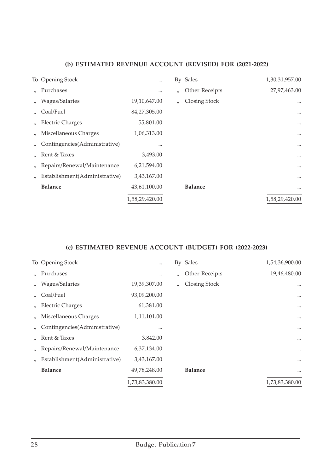|                   | To Opening Stock              | $\cdots$       |             | By Sales       | 1,30,31,957.00 |
|-------------------|-------------------------------|----------------|-------------|----------------|----------------|
|                   | Purchases                     | $\cdots$       | $\prime$    | Other Receipts | 27,97,463.00   |
| $^{\prime\prime}$ | Wages/Salaries                | 19,10,647.00   | $^{\prime}$ | Closing Stock  | $\cdots$       |
|                   | Coal/Fuel                     | 84,27,305.00   |             |                | $\cdots$       |
|                   | <b>Electric Charges</b>       | 55,801.00      |             |                | $\cdots$       |
|                   | Miscellaneous Charges         | 1,06,313.00    |             |                | $\cdots$       |
|                   | Contingencies(Administrative) |                |             |                | $\cdots$       |
|                   | Rent & Taxes                  | 3,493.00       |             |                | $\cdots$       |
|                   | Repairs/Renewal/Maintenance   | 6,21,594.00    |             |                | $\cdots$       |
|                   | Establishment(Administrative) | 3,43,167.00    |             |                | $\cdots$       |
|                   | <b>Balance</b>                | 43,61,100.00   |             | <b>Balance</b> | $\cdots$       |
|                   |                               | 1,58,29,420.00 |             |                | 1,58,29,420.00 |
|                   |                               |                |             |                |                |

|                   | To Opening Stock              | $\cdots$       |                   | By Sales       | 1,54,36,900.00 |
|-------------------|-------------------------------|----------------|-------------------|----------------|----------------|
|                   | Purchases                     |                | $^{\prime\prime}$ | Other Receipts | 19,46,480.00   |
| $^{\prime\prime}$ | Wages/Salaries                | 19,39,307.00   | $\prime$          | Closing Stock  | $\cdots$       |
|                   | Coal/Fuel                     | 93,09,200.00   |                   |                | $\cdots$       |
|                   | <b>Electric Charges</b>       | 61,381.00      |                   |                | $\cdots$       |
|                   | Miscellaneous Charges         | 1,11,101.00    |                   |                | $\cdots$       |
|                   | Contingencies(Administrative) |                |                   |                | $\cdots$       |
|                   | Rent & Taxes                  | 3,842.00       |                   |                | $\cdots$       |
| $^{\prime\prime}$ | Repairs/Renewal/Maintenance   | 6,37,134.00    |                   |                |                |
|                   | Establishment(Administrative) | 3,43,167.00    |                   |                | $\cdots$       |
|                   | <b>Balance</b>                | 49,78,248.00   |                   | <b>Balance</b> | $\cdots$       |
|                   |                               | 1,73,83,380.00 |                   |                | 1,73,83,380.00 |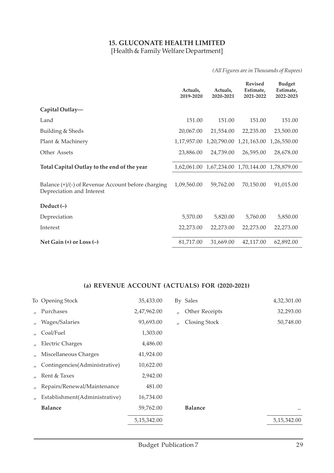#### **15. GLUCONATE HEALTH LIMITED** [Health & Family Welfare Department]

#### *(All Figures are in Thousands of Rupees)*

|                                                                                   | Actuals,<br>2019-2020 | Actuals,<br>2020-2021 | <b>Revised</b><br>Estimate,<br>2021-2022        | <b>Budget</b><br>Estimate,<br>2022-2023 |
|-----------------------------------------------------------------------------------|-----------------------|-----------------------|-------------------------------------------------|-----------------------------------------|
| Capital Outlay-                                                                   |                       |                       |                                                 |                                         |
| Land                                                                              | 151.00                | 151.00                | 151.00                                          | 151.00                                  |
| Building & Sheds                                                                  | 20,067.00             | 21,554.00             | 22,235.00                                       | 23,500.00                               |
| Plant & Machinery                                                                 | 1,17,957.00           | 1,20,790.00           | 1,21,163.00                                     | 1,26,550.00                             |
| Other Assets                                                                      | 23,886.00             | 24,739.00             | 26,595.00                                       | 28,678.00                               |
| Total Capital Outlay to the end of the year                                       |                       |                       | 1,62,061.00 1,67,234.00 1,70,144.00 1,78,879.00 |                                         |
| Balance $(+)/(-)$ of Revenue Account before charging<br>Depreciation and Interest | 1,09,560.00           | 59,762.00             | 70,150.00                                       | 91,015.00                               |
| Deduct $(-)$                                                                      |                       |                       |                                                 |                                         |
| Depreciation                                                                      | 5,570.00              | 5,820.00              | 5,760.00                                        | 5,850.00                                |
| Interest                                                                          | 22,273.00             | 22,273.00             | 22,273.00                                       | 22,273.00                               |
| Net Gain $(+)$ or Loss $(-)$                                                      | 81,717.00             | 31,669.00             | 42,117.00                                       | 62,892.00                               |

|                   | To Opening Stock              | 35,433.00     |          | By Sales       | 4,32,301.00   |
|-------------------|-------------------------------|---------------|----------|----------------|---------------|
| $\mathbf{u}$      | Purchases                     | 2,47,962.00   | $\prime$ | Other Receipts | 32,293.00     |
| $\prime$          | Wages/Salaries                | 93,693.00     | $\prime$ | Closing Stock  | 50,748.00     |
| $^{\prime\prime}$ | Coal/Fuel                     | 1,303.00      |          |                |               |
| $^{\prime\prime}$ | <b>Electric Charges</b>       | 4,486.00      |          |                |               |
|                   | Miscellaneous Charges         | 41,924.00     |          |                |               |
|                   | Contingencies(Administrative) | 10,622.00     |          |                |               |
| $\mathcal{L}$     | Rent & Taxes                  | 2,942.00      |          |                |               |
| $^{\prime\prime}$ | Repairs/Renewal/Maintenance   | 481.00        |          |                |               |
|                   | Establishment(Administrative) | 16,734.00     |          |                |               |
|                   | <b>Balance</b>                | 59,762.00     |          | <b>Balance</b> | $\cdots$      |
|                   |                               | 5, 15, 342.00 |          |                | 5, 15, 342.00 |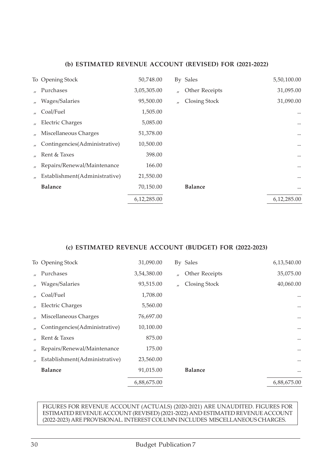|                               | 50,748.00        |                   |                | 5,50,100.00 |
|-------------------------------|------------------|-------------------|----------------|-------------|
| Purchases                     | 3,05,305.00      | $^{\prime\prime}$ | Other Receipts | 31,095.00   |
| Wages/Salaries                | 95,500.00        | $^{\prime\prime}$ | Closing Stock  | 31,090.00   |
| Coal/Fuel                     | 1,505.00         |                   |                |             |
| <b>Electric Charges</b>       | 5,085.00         |                   |                | $\cdots$    |
| Miscellaneous Charges         | 51,378.00        |                   |                | $\cdots$    |
| Contingencies(Administrative) | 10,500.00        |                   |                | $\cdots$    |
| Rent & Taxes                  | 398.00           |                   |                | $\cdots$    |
| Repairs/Renewal/Maintenance   | 166.00           |                   |                | $\cdots$    |
| Establishment(Administrative) | 21,550.00        |                   |                | $\cdots$    |
| <b>Balance</b>                | 70,150.00        |                   | <b>Balance</b> | $\cdots$    |
|                               | 6,12,285.00      |                   |                | 6,12,285.00 |
|                               | To Opening Stock |                   |                | By Sales    |

#### **(c) ESTIMATED REVENUE ACCOUNT (BUDGET) FOR (2022-2023)**

|                   | To Opening Stock              | 31,090.00   |                   | By Sales       | 6,13,540.00 |
|-------------------|-------------------------------|-------------|-------------------|----------------|-------------|
|                   | Purchases                     | 3,54,380.00 | $^{\prime\prime}$ | Other Receipts | 35,075.00   |
| $\prime$          | Wages/Salaries                | 93,515.00   | $^{\prime\prime}$ | Closing Stock  | 40,060.00   |
| $\mathbf{u}$      | Coal/Fuel                     | 1,708.00    |                   |                |             |
| $^{\prime\prime}$ | <b>Electric Charges</b>       | 5,560.00    |                   |                | $\cdots$    |
|                   | Miscellaneous Charges         | 76,697.00   |                   |                | $\cdots$    |
|                   | Contingencies(Administrative) | 10,100.00   |                   |                | $\cdots$    |
|                   | Rent & Taxes                  | 875.00      |                   |                | $\cdots$    |
| $^{\prime\prime}$ | Repairs/Renewal/Maintenance   | 175.00      |                   |                | $\cdots$    |
|                   | Establishment(Administrative) | 23,560.00   |                   |                | $\cdots$    |
|                   | <b>Balance</b>                | 91,015.00   |                   | <b>Balance</b> | $\cdots$    |
|                   |                               | 6,88,675.00 |                   |                | 6,88,675.00 |

#### FIGURES FOR REVENUE ACCOUNT (ACTUALS) (2020-2021) ARE UNAUDITED. FIGURES FOR ESTIMATED REVENUE ACCOUNT (REVISED) (2021-2022) AND ESTIMATED REVENUE ACCOUNT (2022-2023) ARE PROVISIONAL. INTEREST COLUMN INCLUDES MISCELLANEOUS CHARGES.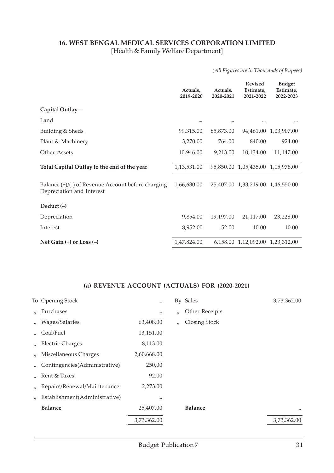#### **16. WEST BENGAL MEDICAL SERVICES CORPORATION LIMITED** [Health & Family Welfare Department]

*(All Figures are in Thousands of Rupees)*

|                                                                                   | Actuals.<br>2019-2020 | Actuals.<br>2020-2021 | <b>Revised</b><br>Estimate.<br>2021-2022 | <b>Budget</b><br>Estimate,<br>2022-2023 |
|-----------------------------------------------------------------------------------|-----------------------|-----------------------|------------------------------------------|-----------------------------------------|
| Capital Outlay-                                                                   |                       |                       |                                          |                                         |
| Land                                                                              |                       |                       |                                          |                                         |
| Building & Sheds                                                                  | 99,315.00             | 85,873.00             |                                          | 94,461.00 1,03,907.00                   |
| Plant & Machinery                                                                 | 3,270.00              | 764.00                | 840.00                                   | 924.00                                  |
| Other Assets                                                                      | 10,946.00             | 9,213.00              | 10,134.00                                | 11,147.00                               |
| Total Capital Outlay to the end of the year                                       | 1,13,531.00           |                       | 95,850.00 1,05,435.00                    | 1,15,978.00                             |
| Balance $(+)/(-)$ of Revenue Account before charging<br>Depreciation and Interest | 1,66,630.00           |                       | 25,407.00 1,33,219.00                    | 1,46,550.00                             |
| Deduct $(-)$                                                                      |                       |                       |                                          |                                         |
| Depreciation                                                                      | 9,854.00              | 19,197.00             | 21,117.00                                | 23,228.00                               |
| Interest                                                                          | 8,952.00              | 52.00                 | 10.00                                    | 10.00                                   |
| Net Gain $(+)$ or Loss $(-)$                                                      | 1,47,824.00           |                       | 6,158.00 1,12,092.00 1,23,312.00         |                                         |

|                   | To Opening Stock              |             |                   | By Sales             | 3,73,362.00 |
|-------------------|-------------------------------|-------------|-------------------|----------------------|-------------|
| $\mathcal{L}$     | Purchases                     |             | $^{\prime\prime}$ | Other Receipts       |             |
| $\prime$          | Wages/Salaries                | 63,408.00   | $\prime$          | <b>Closing Stock</b> |             |
| $^{\prime\prime}$ | Coal/Fuel                     | 13,151.00   |                   |                      |             |
| $^{\prime\prime}$ | <b>Electric Charges</b>       | 8,113.00    |                   |                      |             |
|                   | Miscellaneous Charges         | 2,60,668.00 |                   |                      |             |
|                   | Contingencies(Administrative) | 250.00      |                   |                      |             |
|                   | Rent & Taxes                  | 92.00       |                   |                      |             |
| $^{\prime\prime}$ | Repairs/Renewal/Maintenance   | 2,273.00    |                   |                      |             |
| $\prime$          | Establishment(Administrative) |             |                   |                      |             |
|                   | <b>Balance</b>                | 25,407.00   |                   | <b>Balance</b>       | $\cdots$    |
|                   |                               | 3,73,362.00 |                   |                      | 3,73,362.00 |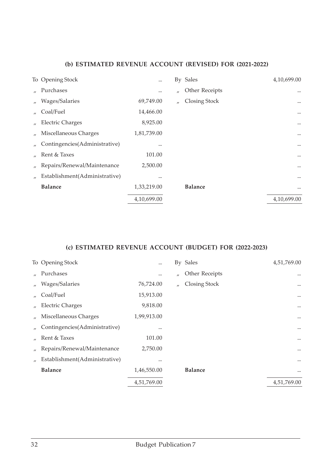|                   | To Opening Stock              |             |                   | By Sales       | 4,10,699.00 |
|-------------------|-------------------------------|-------------|-------------------|----------------|-------------|
|                   | Purchases                     |             | $^{\prime\prime}$ | Other Receipts |             |
| $\prime$          | Wages/Salaries                | 69,749.00   | $^{\prime\prime}$ | Closing Stock  | $\cdots$    |
|                   | Coal/Fuel                     | 14,466.00   |                   |                |             |
| $^{\prime\prime}$ | <b>Electric Charges</b>       | 8,925.00    |                   |                | $\cdots$    |
| $^{\prime\prime}$ | Miscellaneous Charges         | 1,81,739.00 |                   |                | $\cdots$    |
|                   | Contingencies(Administrative) |             |                   |                | $\cdots$    |
|                   | Rent & Taxes                  | 101.00      |                   |                | $\cdots$    |
| $^{\prime\prime}$ | Repairs/Renewal/Maintenance   | 2,500.00    |                   |                | $\cdots$    |
|                   | Establishment(Administrative) |             |                   |                | $\cdots$    |
|                   | <b>Balance</b>                | 1,33,219.00 |                   | <b>Balance</b> | $\cdots$    |
|                   |                               | 4,10,699.00 |                   |                | 4,10,699.00 |

|                   | To Opening Stock              |             |                   | By Sales       | 4,51,769.00 |
|-------------------|-------------------------------|-------------|-------------------|----------------|-------------|
|                   | Purchases                     |             | $^{\prime\prime}$ | Other Receipts | $\cdots$    |
| $^{\prime\prime}$ | Wages/Salaries                | 76,724.00   | $^{\prime\prime}$ | Closing Stock  | $\cdots$    |
|                   | Coal/Fuel                     | 15,913.00   |                   |                | $\cdots$    |
| $^{\prime\prime}$ | <b>Electric Charges</b>       | 9,818.00    |                   |                | $\cdots$    |
|                   | Miscellaneous Charges         | 1,99,913.00 |                   |                | $\cdots$    |
|                   | Contingencies(Administrative) |             |                   |                | $\cdots$    |
|                   | Rent & Taxes                  | 101.00      |                   |                | $\cdots$    |
| $^{\prime\prime}$ | Repairs/Renewal/Maintenance   | 2,750.00    |                   |                | $\cdots$    |
| $\prime$          | Establishment(Administrative) |             |                   |                | $\cdots$    |
|                   | <b>Balance</b>                | 1,46,550.00 |                   | <b>Balance</b> | $\cdots$    |
|                   |                               | 4,51,769.00 |                   |                | 4,51,769.00 |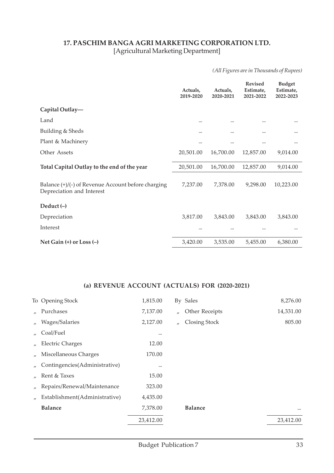#### **17. PASCHIM BANGA AGRI MARKETING CORPORATION LTD.** [Agricultural Marketing Department]

*(All Figures are in Thousands of Rupees)*

|                                                                                   | Actuals,<br>2019-2020 | Actuals,<br>2020-2021 | <b>Revised</b><br>Estimate,<br>2021-2022 | <b>Budget</b><br>Estimate,<br>2022-2023 |
|-----------------------------------------------------------------------------------|-----------------------|-----------------------|------------------------------------------|-----------------------------------------|
| Capital Outlay-                                                                   |                       |                       |                                          |                                         |
| Land                                                                              | $\cdots$              |                       |                                          |                                         |
| Building & Sheds                                                                  |                       |                       |                                          |                                         |
| Plant & Machinery                                                                 | $\cdots$              | $\cdots$              |                                          | $\cdots$                                |
| Other Assets                                                                      | 20,501.00             | 16,700.00             | 12,857.00                                | 9,014.00                                |
| Total Capital Outlay to the end of the year                                       | 20,501.00             | 16,700.00             | 12,857.00                                | 9,014.00                                |
| Balance $(+)/(-)$ of Revenue Account before charging<br>Depreciation and Interest | 7,237.00              | 7,378.00              | 9,298.00                                 | 10,223.00                               |
| Deduct $(-)$                                                                      |                       |                       |                                          |                                         |
| Depreciation                                                                      | 3,817.00              | 3,843.00              | 3,843.00                                 | 3,843.00                                |
| Interest                                                                          | $\cdots$              |                       |                                          |                                         |
| Net Gain $(+)$ or Loss $(-)$                                                      | 3,420.00              | 3,535.00              | 5,455.00                                 | 6,380.00                                |

| 7,137.00<br>Other Receipts<br>Purchases<br>$\mathbf{u}$<br>$\mathbf{u}$<br>2,127.00<br>Wages/Salaries<br><b>Closing Stock</b><br>$\overline{U}$<br>$\prime$<br>Coal/Fuel<br>$\overline{U}$<br><br><b>Electric Charges</b><br>12.00<br>$\overline{U}$<br>170.00<br>Miscellaneous Charges<br>$\prime$<br>Contingencies(Administrative)<br><br>15.00<br>Rent & Taxes<br>$\mathbf{u}$<br>Repairs/Renewal/Maintenance<br>323.00<br>$\prime$<br>Establishment(Administrative)<br>4,435.00<br>$\prime$<br><b>Balance</b><br><b>Balance</b><br>7,378.00<br>23,412.00 | To Opening Stock | 1,815.00 | By Sales | 8,276.00  |
|--------------------------------------------------------------------------------------------------------------------------------------------------------------------------------------------------------------------------------------------------------------------------------------------------------------------------------------------------------------------------------------------------------------------------------------------------------------------------------------------------------------------------------------------------------------|------------------|----------|----------|-----------|
|                                                                                                                                                                                                                                                                                                                                                                                                                                                                                                                                                              |                  |          |          | 14,331.00 |
|                                                                                                                                                                                                                                                                                                                                                                                                                                                                                                                                                              |                  |          |          | 805.00    |
|                                                                                                                                                                                                                                                                                                                                                                                                                                                                                                                                                              |                  |          |          |           |
|                                                                                                                                                                                                                                                                                                                                                                                                                                                                                                                                                              |                  |          |          |           |
|                                                                                                                                                                                                                                                                                                                                                                                                                                                                                                                                                              |                  |          |          |           |
|                                                                                                                                                                                                                                                                                                                                                                                                                                                                                                                                                              |                  |          |          |           |
|                                                                                                                                                                                                                                                                                                                                                                                                                                                                                                                                                              |                  |          |          |           |
|                                                                                                                                                                                                                                                                                                                                                                                                                                                                                                                                                              |                  |          |          |           |
|                                                                                                                                                                                                                                                                                                                                                                                                                                                                                                                                                              |                  |          |          |           |
|                                                                                                                                                                                                                                                                                                                                                                                                                                                                                                                                                              |                  |          |          | $\cdots$  |
|                                                                                                                                                                                                                                                                                                                                                                                                                                                                                                                                                              |                  |          |          | 23,412.00 |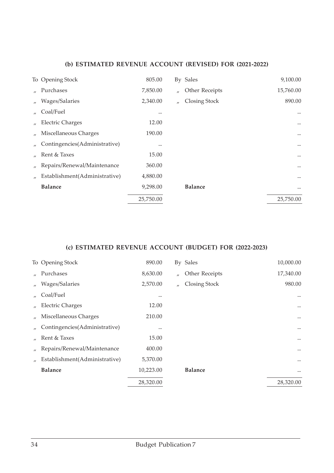|                   | To Opening Stock              | 805.00    |                   | By Sales       | 9,100.00  |
|-------------------|-------------------------------|-----------|-------------------|----------------|-----------|
|                   | Purchases                     | 7,850.00  | $^{\prime\prime}$ | Other Receipts | 15,760.00 |
| $\prime$          | Wages/Salaries                | 2,340.00  | $^{\prime\prime}$ | Closing Stock  | 890.00    |
| $^{\prime\prime}$ | Coal/Fuel                     | $\cdots$  |                   |                |           |
| $^{\prime\prime}$ | <b>Electric Charges</b>       | 12.00     |                   |                | $\cdots$  |
|                   | Miscellaneous Charges         | 190.00    |                   |                | $\cdots$  |
|                   | Contingencies(Administrative) |           |                   |                | $\cdots$  |
|                   | Rent & Taxes                  | 15.00     |                   |                | $\cdots$  |
| $^{\prime\prime}$ | Repairs/Renewal/Maintenance   | 360.00    |                   |                | $\cdots$  |
| $\prime$          | Establishment(Administrative) | 4,880.00  |                   |                | $\cdots$  |
|                   | <b>Balance</b>                | 9,298.00  |                   | <b>Balance</b> | $\cdots$  |
|                   |                               | 25,750.00 |                   |                | 25,750.00 |

|                   | To Opening Stock              | 890.00    |                   | By Sales       | 10,000.00 |
|-------------------|-------------------------------|-----------|-------------------|----------------|-----------|
|                   | Purchases                     | 8,630.00  | $^{\prime\prime}$ | Other Receipts | 17,340.00 |
| $^{\prime\prime}$ | Wages/Salaries                | 2,570.00  | $\prime$          | Closing Stock  | 980.00    |
|                   | Coal/Fuel                     |           |                   |                | $\cdots$  |
|                   | <b>Electric Charges</b>       | 12.00     |                   |                | $\cdots$  |
|                   | Miscellaneous Charges         | 210.00    |                   |                | $\cdots$  |
|                   | Contingencies(Administrative) |           |                   |                | $\cdots$  |
|                   | Rent & Taxes                  | 15.00     |                   |                |           |
| $^{\prime\prime}$ | Repairs/Renewal/Maintenance   | 400.00    |                   |                | $\cdots$  |
|                   | Establishment(Administrative) | 5,370.00  |                   |                | $\cdots$  |
|                   | <b>Balance</b>                | 10,223.00 |                   | <b>Balance</b> | $\cdots$  |
|                   |                               | 28,320.00 |                   |                | 28,320.00 |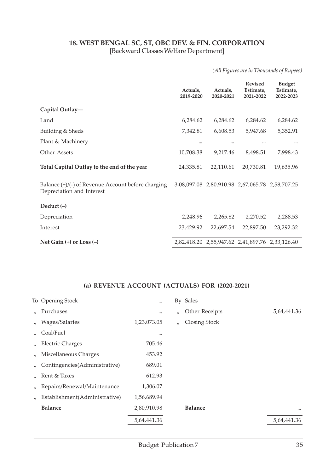#### **18. WEST BENGAL SC, ST, OBC DEV. & FIN. CORPORATION** [Backward Classes Welfare Department]

*(All Figures are in Thousands of Rupees)*

|                                                                                   | Actuals,<br>2019-2020 | Actuals,<br>2020-2021 | <b>Revised</b><br>Estimate,<br>2021-2022        | <b>Budget</b><br>Estimate,<br>2022-2023 |
|-----------------------------------------------------------------------------------|-----------------------|-----------------------|-------------------------------------------------|-----------------------------------------|
| Capital Outlay-                                                                   |                       |                       |                                                 |                                         |
| Land                                                                              | 6,284.62              | 6,284.62              | 6,284.62                                        | 6,284.62                                |
| Building & Sheds                                                                  | 7,342.81              | 6,608.53              | 5,947.68                                        | 5,352.91                                |
| Plant & Machinery                                                                 |                       |                       |                                                 | $\cdots$                                |
| Other Assets                                                                      | 10,708.38             | 9,217.46              | 8,498.51                                        | 7,998.43                                |
| Total Capital Outlay to the end of the year                                       | 24,335.81             | 22,110.61             | 20,730.81                                       | 19,635.96                               |
| Balance $(+)/(-)$ of Revenue Account before charging<br>Depreciation and Interest |                       |                       | 3,08,097.08 2,80,910.98 2,67,065.78 2,58,707.25 |                                         |
| Deduct $(-)$                                                                      |                       |                       |                                                 |                                         |
| Depreciation                                                                      | 2,248.96              | 2,265.82              | 2,270.52                                        | 2,288.53                                |
| Interest                                                                          | 23,429.92             | 22,697.54             | 22,897.50                                       | 23,292.32                               |
| Net Gain $(+)$ or Loss $(-)$                                                      |                       |                       | 2,82,418.20 2,55,947.62 2,41,897.76 2,33,126.40 |                                         |

|                   | To Opening Stock              |             |                   | By Sales       |             |
|-------------------|-------------------------------|-------------|-------------------|----------------|-------------|
| $\mathbf{u}$      | Purchases                     |             | $^{\prime\prime}$ | Other Receipts | 5,64,441.36 |
| $\prime$          | Wages/Salaries                | 1,23,073.05 | $\prime$          | Closing Stock  |             |
| $^{\prime\prime}$ | Coal/Fuel                     |             |                   |                |             |
| $\prime$          | <b>Electric Charges</b>       | 705.46      |                   |                |             |
|                   | Miscellaneous Charges         | 453.92      |                   |                |             |
|                   | Contingencies(Administrative) | 689.01      |                   |                |             |
|                   | Rent & Taxes                  | 612.93      |                   |                |             |
| $^{\prime\prime}$ | Repairs/Renewal/Maintenance   | 1,306.07    |                   |                |             |
|                   | Establishment(Administrative) | 1,56,689.94 |                   |                |             |
|                   | <b>Balance</b>                | 2,80,910.98 |                   | <b>Balance</b> | $\cdots$    |
|                   |                               | 5,64,441.36 |                   |                | 5,64,441.36 |